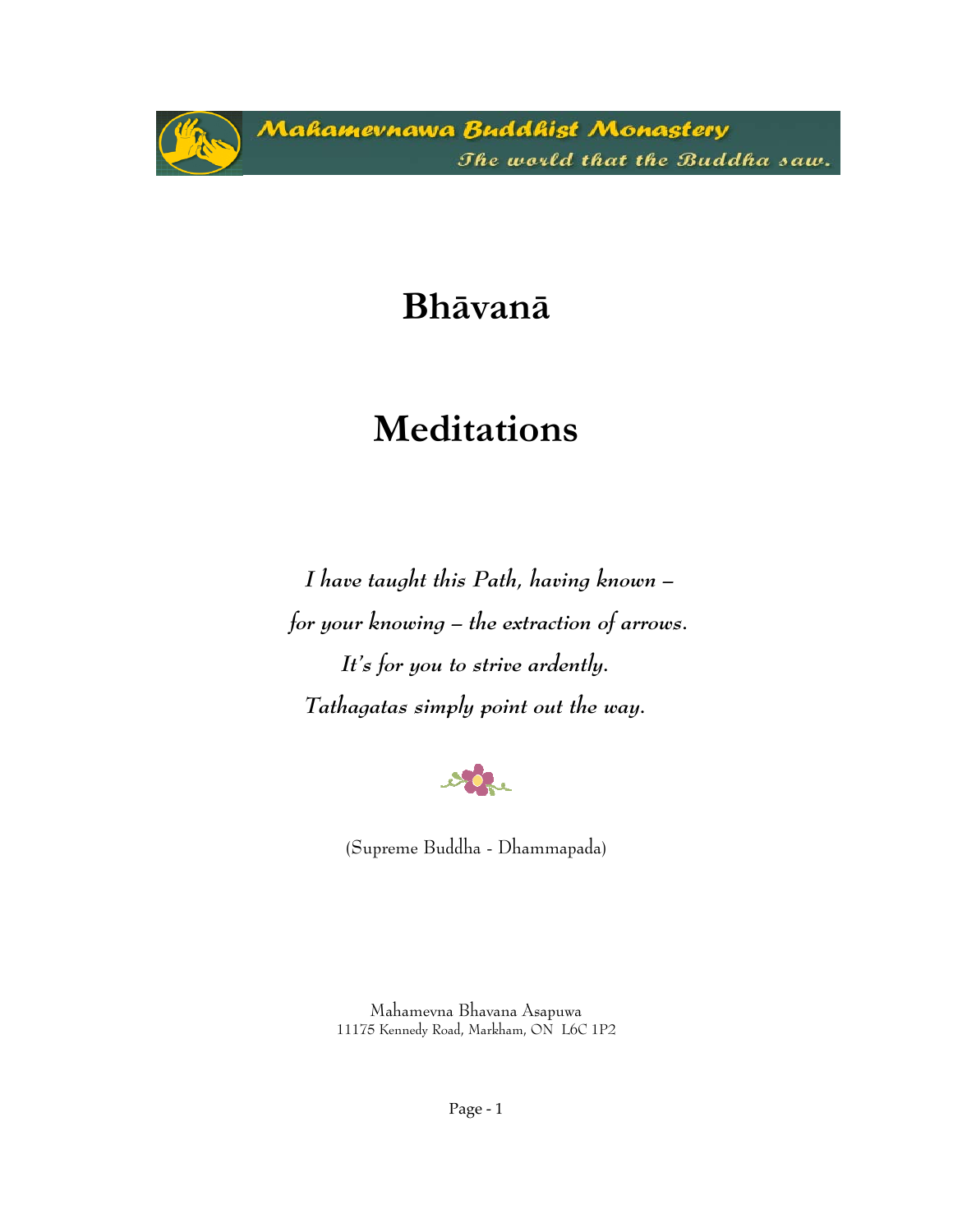Mahamevnawa Buddhist Monastery The world that the Buddha saw.

# **Bhāvanā**

# **Meditations**

*I have taught this Path, having known – for your knowing – the extraction of arrows. It's for you to strive ardently. Tathagatas simply point out the way.* 



(Supreme Buddha - Dhammapada)

Mahamevna Bhavana Asapuwa 11175 Kennedy Road, Markham, ON L6C 1P2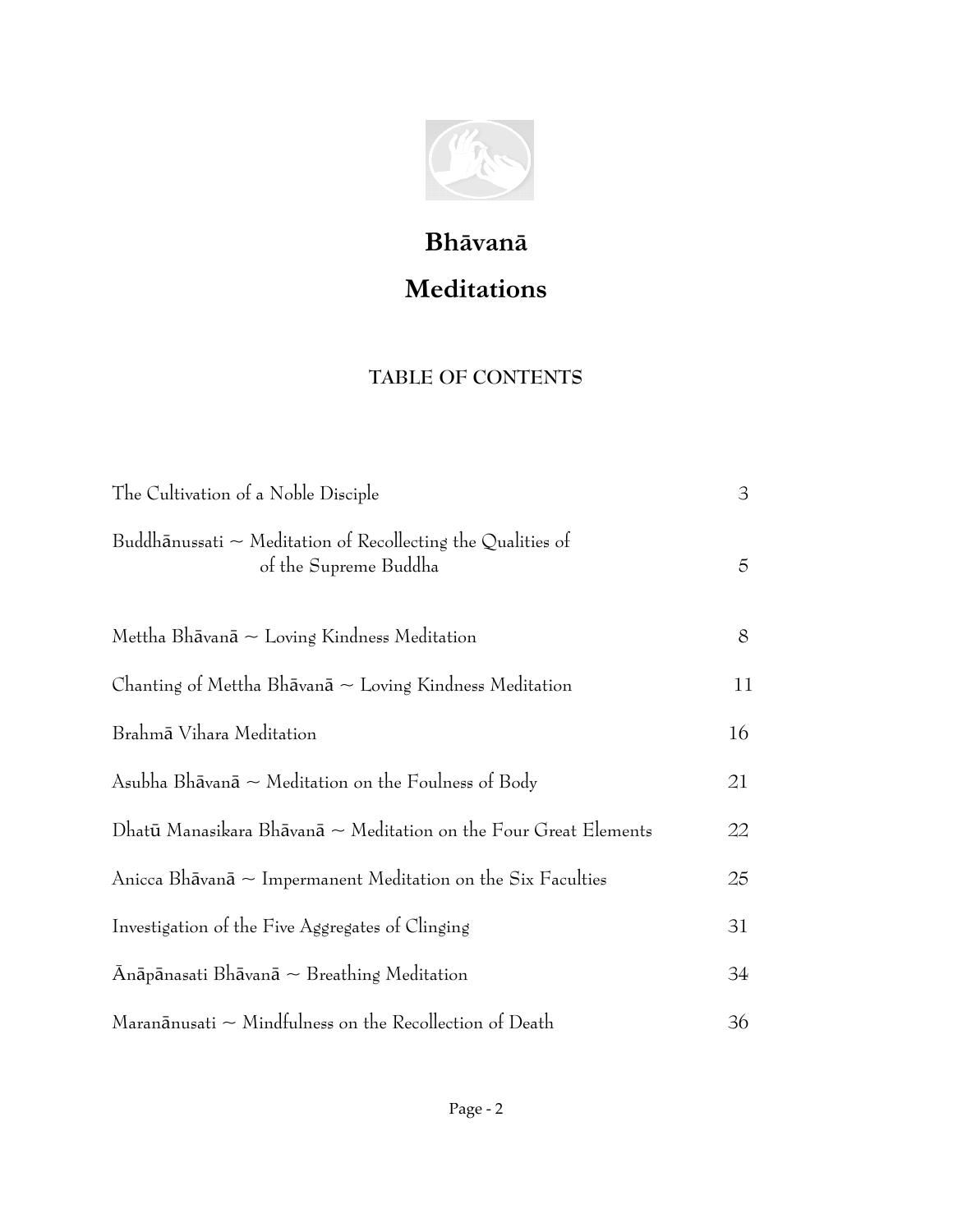

# **Bhāvanā Meditations**

### **TABLE OF CONTENTS**

| The Cultivation of a Noble Disciple                                                            | 3  |
|------------------------------------------------------------------------------------------------|----|
| Buddh $\bar{a}$ nussati ~ Meditation of Recollecting the Qualities of<br>of the Supreme Buddha | 5  |
| Mettha Bh $\bar{a}$ van $\bar{a} \sim$ Loving Kindness Meditation                              | 8  |
| Chanting of Mettha Bh $\bar{a}$ van $\bar{a} \sim$ Loving Kindness Meditation                  | 11 |
| Brahmā Vihara Meditation                                                                       | 16 |
| Asubha Bh $\bar{a}$ van $\bar{a} \sim$ Meditation on the Foulness of Body                      | 21 |
| Dhatū Manasikara Bhāvanā $\sim$ Meditation on the Four Great Elements                          | 22 |
| Anicca Bhāvanā ~ Impermanent Meditation on the Six Faculties                                   | 25 |
| Investigation of the Five Aggregates of Clinging                                               | 31 |
| $\bar{A}$ nāpānasati Bhāvanā $\sim$ Breathing Meditation                                       | 34 |
| Maran $\bar{a}$ nusati $\sim$ Mindfulness on the Recollection of Death                         | 36 |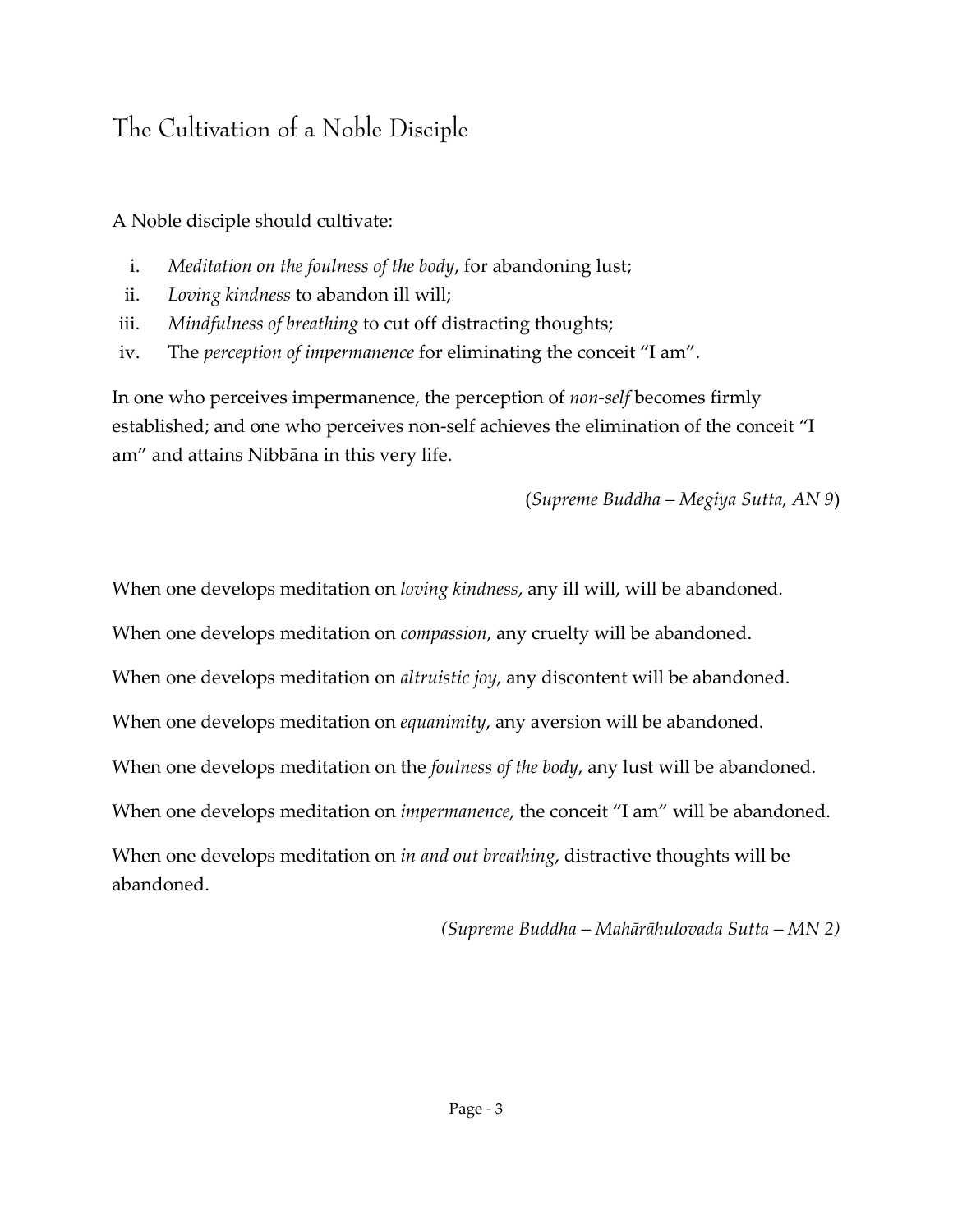# The Cultivation of a Noble Disciple

A Noble disciple should cultivate:

- i. *Meditation on the foulness of the body*, for abandoning lust;
- ii. *Loving kindness* to abandon ill will;
- iii. *Mindfulness of breathing* to cut off distracting thoughts;
- iv. The *perception of impermanence* for eliminating the conceit "I am".

In one who perceives impermanence, the perception of *non‐self* becomes firmly established; and one who perceives non-self achieves the elimination of the conceit "I am" and attains Nibbāna in this very life.

(*Supreme Buddha – Megiya Sutta, AN 9*)

When one develops meditation on *loving kindness*, any ill will, will be abandoned.

When one develops meditation on *compassion*, any cruelty will be abandoned.

When one develops meditation on *altruistic joy*, any discontent will be abandoned.

When one develops meditation on *equanimity*, any aversion will be abandoned.

When one develops meditation on the *foulness of the body*, any lust will be abandoned.

When one develops meditation on *impermanence*, the conceit "I am" will be abandoned.

When one develops meditation on *in and out breathing*, distractive thoughts will be abandoned.

*(Supreme Buddha – Mahārāhulovada Sutta – MN 2)*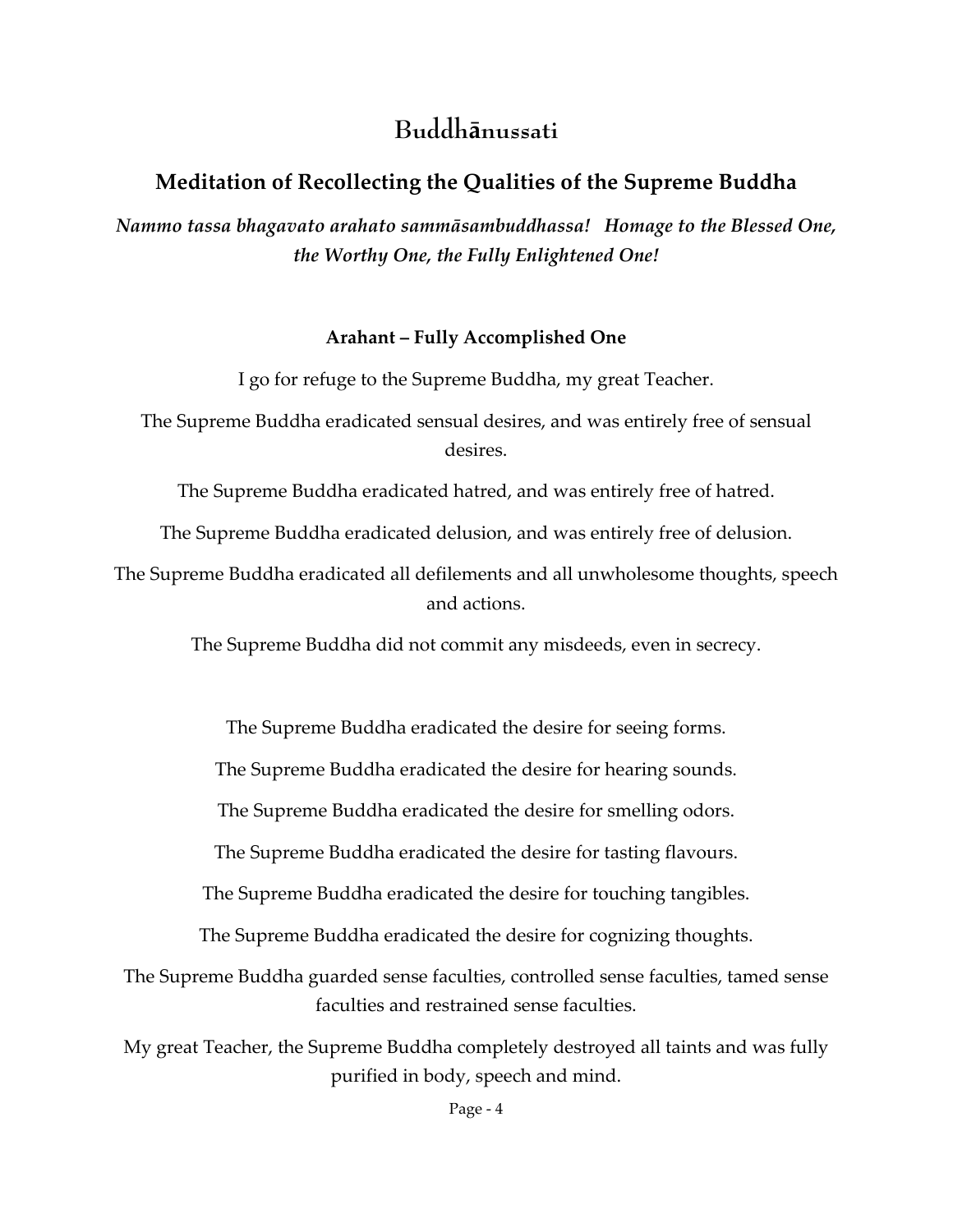## **Buddhānussati**

### **Meditation of Recollecting the Qualities of the Supreme Buddha**

*Nammo tassa bhagavato arahato sammāsambuddhassa! Homage to the Blessed One, the Worthy One, the Fully Enlightened One!*

#### **Arahant – Fully Accomplished One**

I go for refuge to the Supreme Buddha, my great Teacher.

The Supreme Buddha eradicated sensual desires, and was entirely free of sensual desires.

The Supreme Buddha eradicated hatred, and was entirely free of hatred.

The Supreme Buddha eradicated delusion, and was entirely free of delusion.

The Supreme Buddha eradicated all defilements and all unwholesome thoughts, speech and actions.

The Supreme Buddha did not commit any misdeeds, even in secrecy.

The Supreme Buddha eradicated the desire for seeing forms.

The Supreme Buddha eradicated the desire for hearing sounds.

The Supreme Buddha eradicated the desire for smelling odors.

The Supreme Buddha eradicated the desire for tasting flavours.

The Supreme Buddha eradicated the desire for touching tangibles.

The Supreme Buddha eradicated the desire for cognizing thoughts.

The Supreme Buddha guarded sense faculties, controlled sense faculties, tamed sense faculties and restrained sense faculties.

My great Teacher, the Supreme Buddha completely destroyed all taints and was fully purified in body, speech and mind.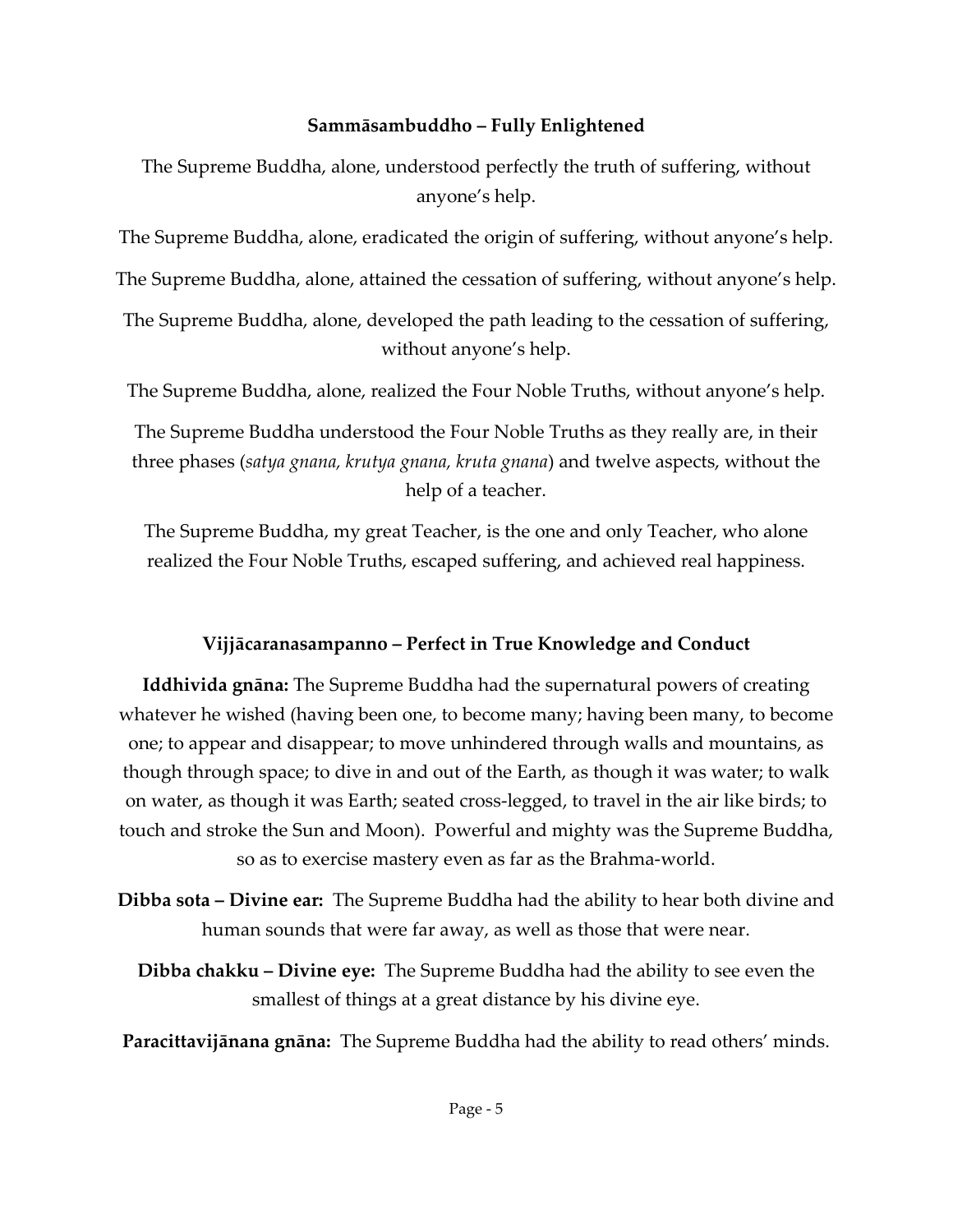#### **Sammāsambuddho – Fully Enlightened**

The Supreme Buddha, alone, understood perfectly the truth of suffering, without anyone's help.

The Supreme Buddha, alone, eradicated the origin of suffering, without anyone's help.

The Supreme Buddha, alone, attained the cessation of suffering, without anyone's help.

The Supreme Buddha, alone, developed the path leading to the cessation of suffering, without anyone's help.

The Supreme Buddha, alone, realized the Four Noble Truths, without anyone's help.

The Supreme Buddha understood the Four Noble Truths as they really are, in their three phases (*satya gnana, krutya gnana, kruta gnana*) and twelve aspects, without the help of a teacher.

The Supreme Buddha, my great Teacher, is the one and only Teacher, who alone realized the Four Noble Truths, escaped suffering, and achieved real happiness.

### **Vijjācaranasampanno – Perfect in True Knowledge and Conduct**

**Iddhivida gnāna:** The Supreme Buddha had the supernatural powers of creating whatever he wished (having been one, to become many; having been many, to become one; to appear and disappear; to move unhindered through walls and mountains, as though through space; to dive in and out of the Earth, as though it was water; to walk on water, as though it was Earth; seated cross‐legged, to travel in the air like birds; to touch and stroke the Sun and Moon). Powerful and mighty was the Supreme Buddha, so as to exercise mastery even as far as the Brahma‐world.

**Dibba sota – Divine ear:** The Supreme Buddha had the ability to hear both divine and human sounds that were far away, as well as those that were near.

**Dibba chakku – Divine eye:** The Supreme Buddha had the ability to see even the smallest of things at a great distance by his divine eye.

**Paracittavijānana gnāna:** The Supreme Buddha had the ability to read others' minds.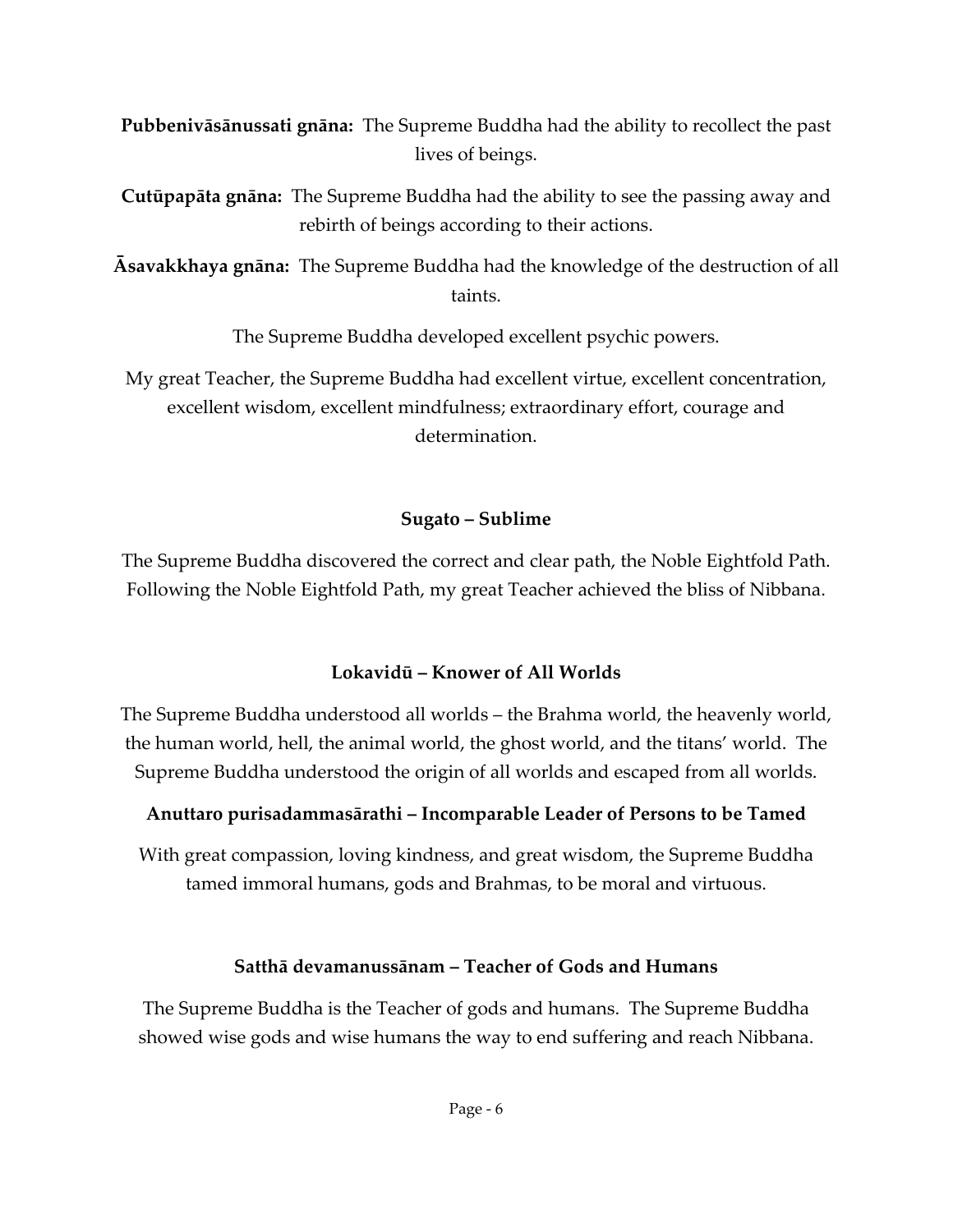**Pubbenivāsānussati gnāna:** The Supreme Buddha had the ability to recollect the past lives of beings.

**Cutūpapāta gnāna:** The Supreme Buddha had the ability to see the passing away and rebirth of beings according to their actions.

**Āsavakkhaya gnāna:** The Supreme Buddha had the knowledge of the destruction of all taints.

The Supreme Buddha developed excellent psychic powers.

My great Teacher, the Supreme Buddha had excellent virtue, excellent concentration, excellent wisdom, excellent mindfulness; extraordinary effort, courage and determination.

#### **Sugato – Sublime**

The Supreme Buddha discovered the correct and clear path, the Noble Eightfold Path. Following the Noble Eightfold Path, my great Teacher achieved the bliss of Nibbana.

### **Lokavidū – Knower of All Worlds**

The Supreme Buddha understood all worlds – the Brahma world, the heavenly world, the human world, hell, the animal world, the ghost world, and the titans' world. The Supreme Buddha understood the origin of all worlds and escaped from all worlds.

### **Anuttaro purisadammasārathi – Incomparable Leader of Persons to be Tamed**

With great compassion, loving kindness, and great wisdom, the Supreme Buddha tamed immoral humans, gods and Brahmas, to be moral and virtuous.

### **Satthā devamanussānam – Teacher of Gods and Humans**

The Supreme Buddha is the Teacher of gods and humans. The Supreme Buddha showed wise gods and wise humans the way to end suffering and reach Nibbana.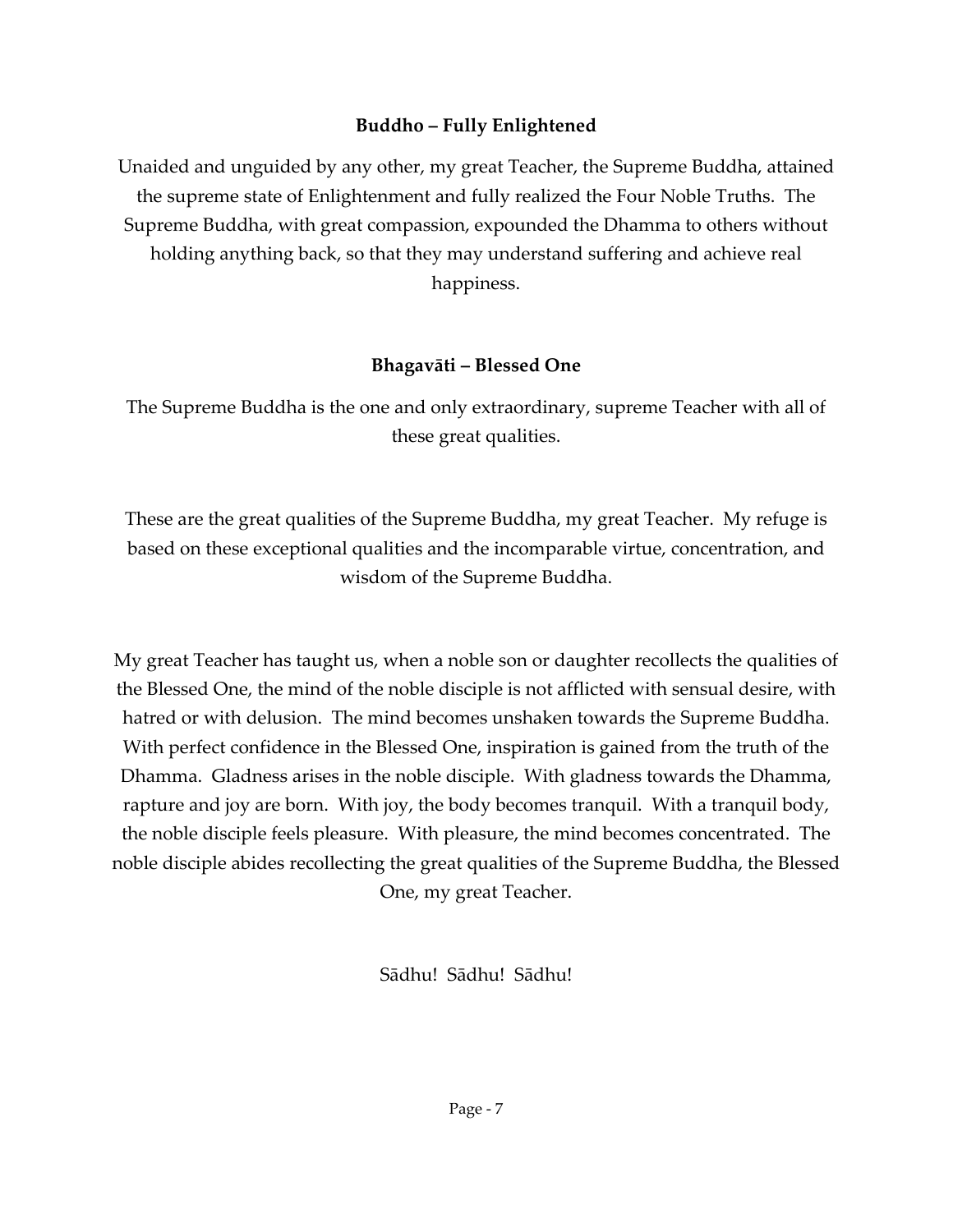#### **Buddho – Fully Enlightened**

Unaided and unguided by any other, my great Teacher, the Supreme Buddha, attained the supreme state of Enlightenment and fully realized the Four Noble Truths. The Supreme Buddha, with great compassion, expounded the Dhamma to others without holding anything back, so that they may understand suffering and achieve real happiness.

#### **Bhagavāti – Blessed One**

The Supreme Buddha is the one and only extraordinary, supreme Teacher with all of these great qualities.

These are the great qualities of the Supreme Buddha, my great Teacher. My refuge is based on these exceptional qualities and the incomparable virtue, concentration, and wisdom of the Supreme Buddha.

My great Teacher has taught us, when a noble son or daughter recollects the qualities of the Blessed One, the mind of the noble disciple is not afflicted with sensual desire, with hatred or with delusion. The mind becomes unshaken towards the Supreme Buddha. With perfect confidence in the Blessed One, inspiration is gained from the truth of the Dhamma. Gladness arises in the noble disciple. With gladness towards the Dhamma, rapture and joy are born. With joy, the body becomes tranquil. With a tranquil body, the noble disciple feels pleasure. With pleasure, the mind becomes concentrated. The noble disciple abides recollecting the great qualities of the Supreme Buddha, the Blessed One, my great Teacher.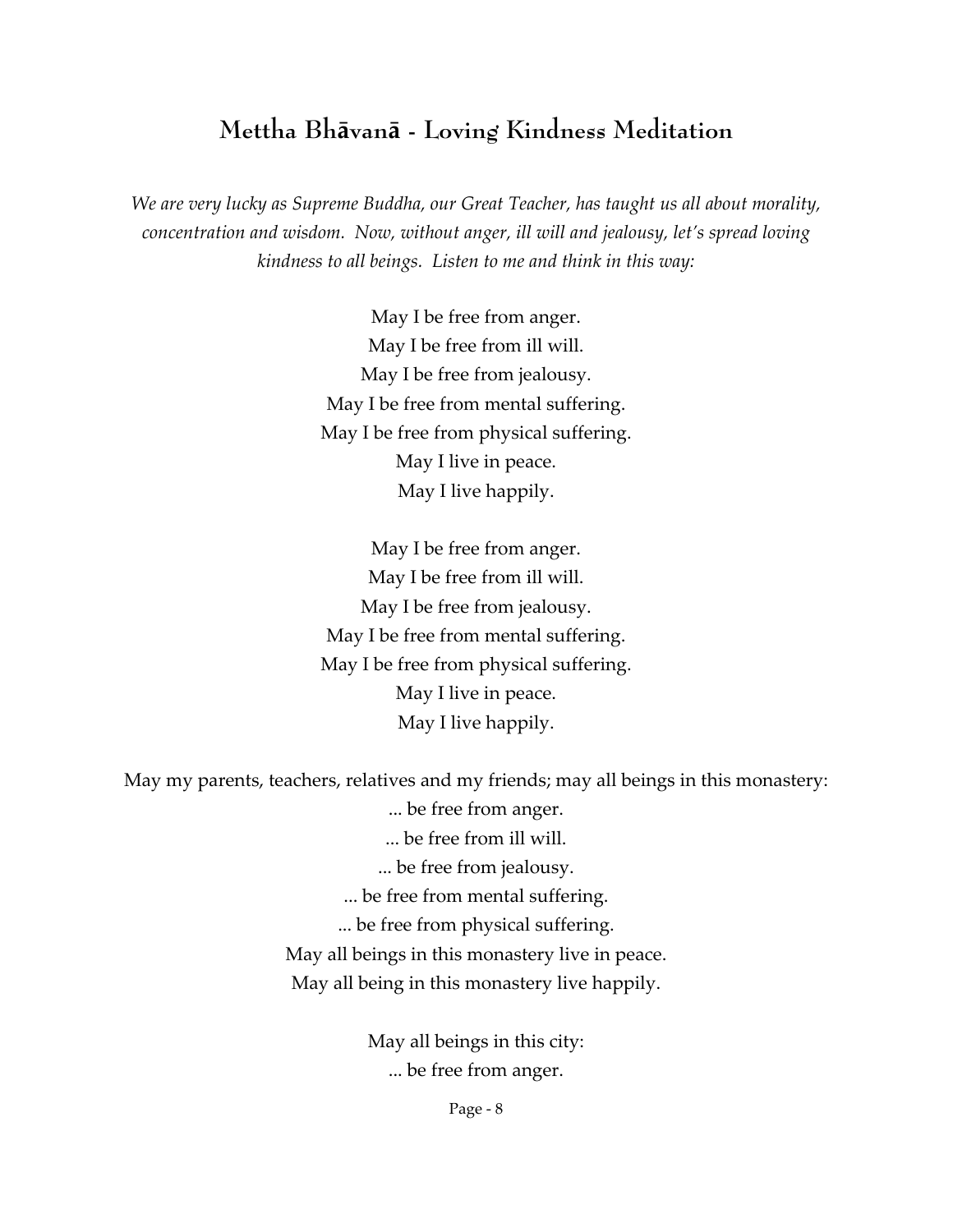### **Mettha Bhāvanā - Loving Kindness Meditation**

*We are very lucky as Supreme Buddha, our Great Teacher, has taught us all about morality, concentration and wisdom. Now, without anger, ill will and jealousy, let's spread loving kindness to all beings. Listen to me and think in this way:*

> May I be free from anger. May I be free from ill will. May I be free from jealousy. May I be free from mental suffering. May I be free from physical suffering. May I live in peace. May I live happily.

> May I be free from anger. May I be free from ill will. May I be free from jealousy. May I be free from mental suffering. May I be free from physical suffering. May I live in peace. May I live happily.

May my parents, teachers, relatives and my friends; may all beings in this monastery:

... be free from anger. ... be free from ill will. ... be free from jealousy. ... be free from mental suffering. ... be free from physical suffering. May all beings in this monastery live in peace. May all being in this monastery live happily.

> May all beings in this city: ... be free from anger.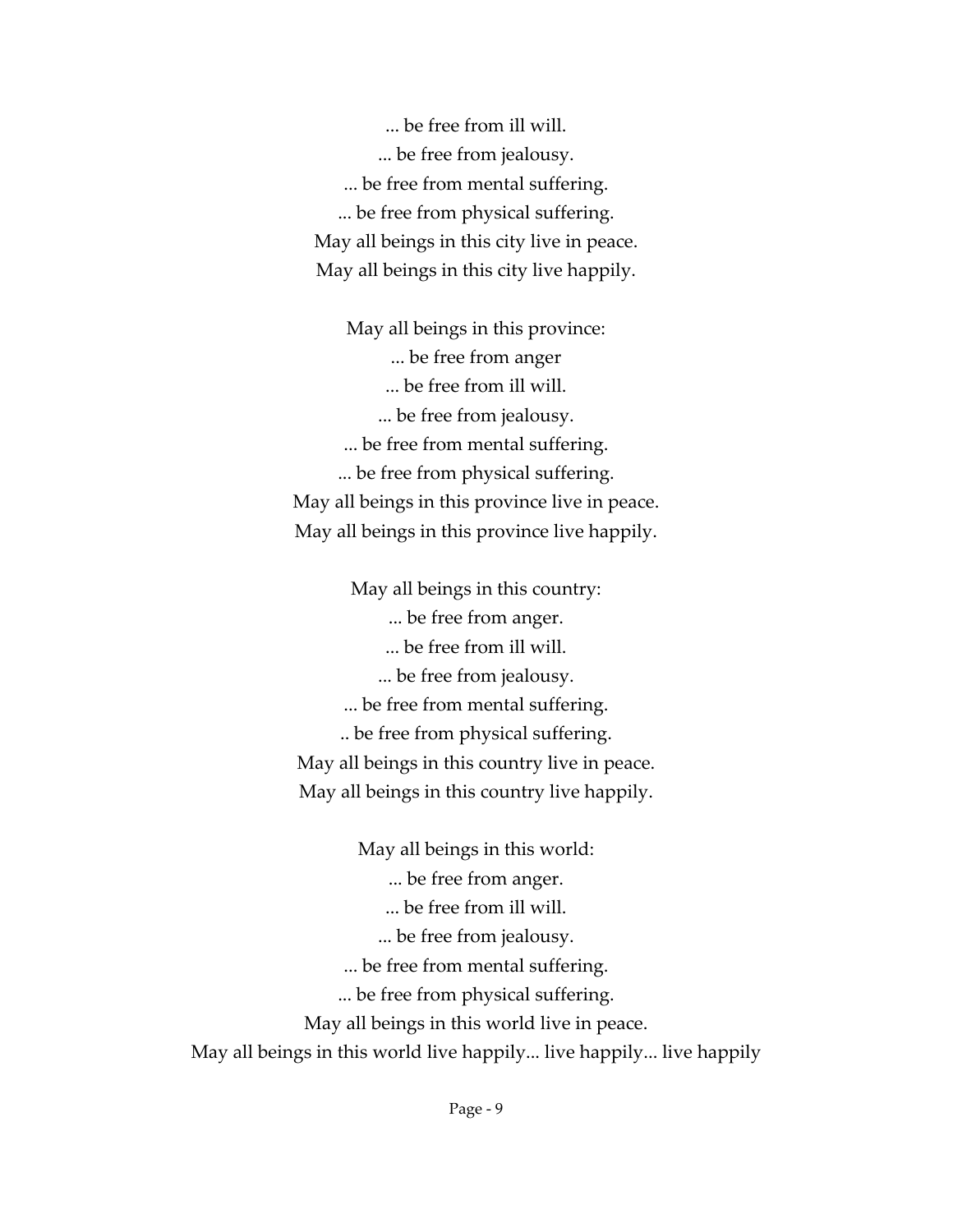... be free from ill will. ... be free from jealousy. ... be free from mental suffering. ... be free from physical suffering. May all beings in this city live in peace. May all beings in this city live happily.

May all beings in this province: ... be free from anger ... be free from ill will. ... be free from jealousy. ... be free from mental suffering. ... be free from physical suffering. May all beings in this province live in peace. May all beings in this province live happily.

May all beings in this country: ... be free from anger. ... be free from ill will. ... be free from jealousy. ... be free from mental suffering. .. be free from physical suffering. May all beings in this country live in peace. May all beings in this country live happily.

May all beings in this world: ... be free from anger. ... be free from ill will. ... be free from jealousy. ... be free from mental suffering. ... be free from physical suffering. May all beings in this world live in peace. May all beings in this world live happily... live happily... live happily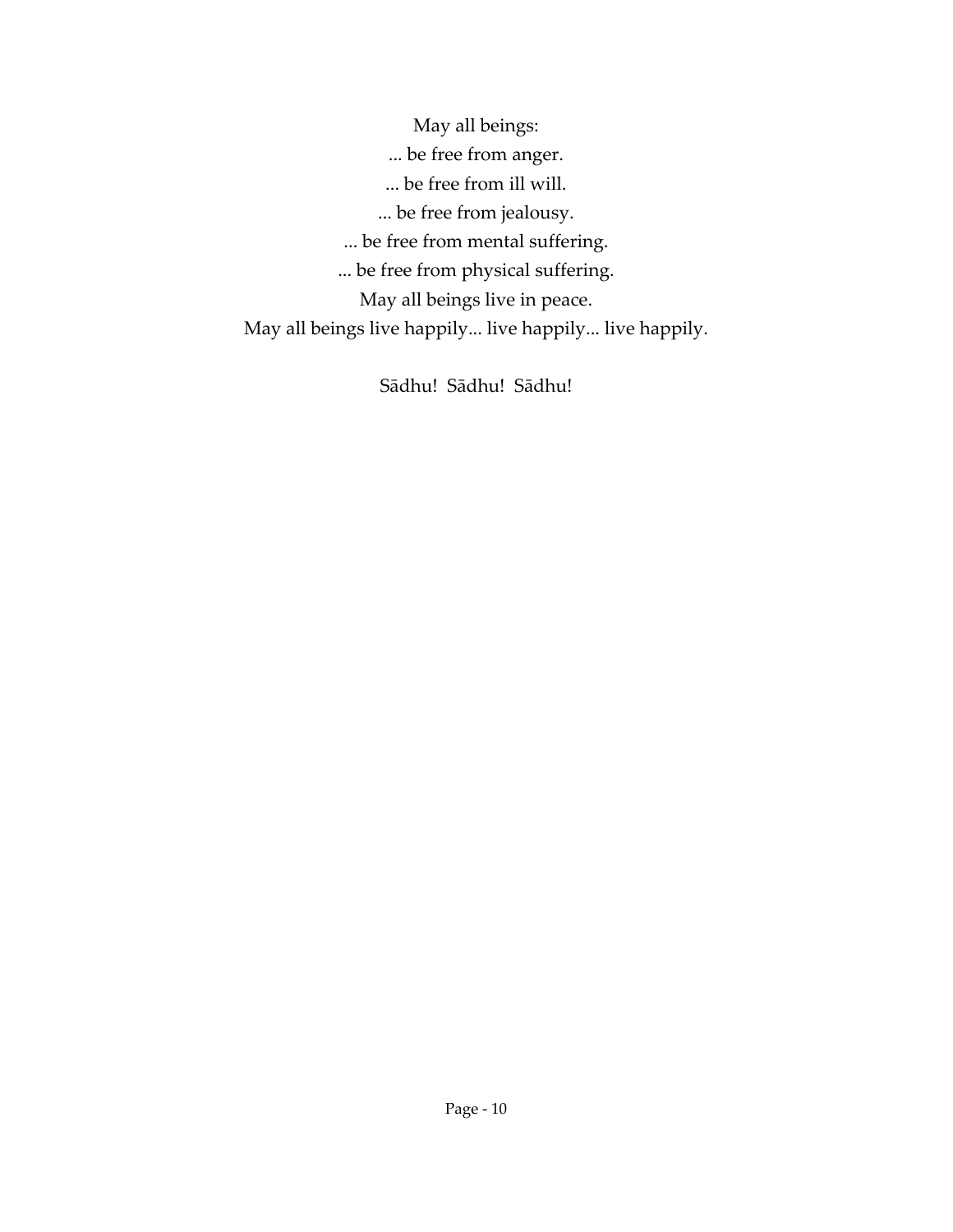May all beings: ... be free from anger. ... be free from ill will. ... be free from jealousy. ... be free from mental suffering. ... be free from physical suffering. May all beings live in peace. May all beings live happily... live happily... live happily.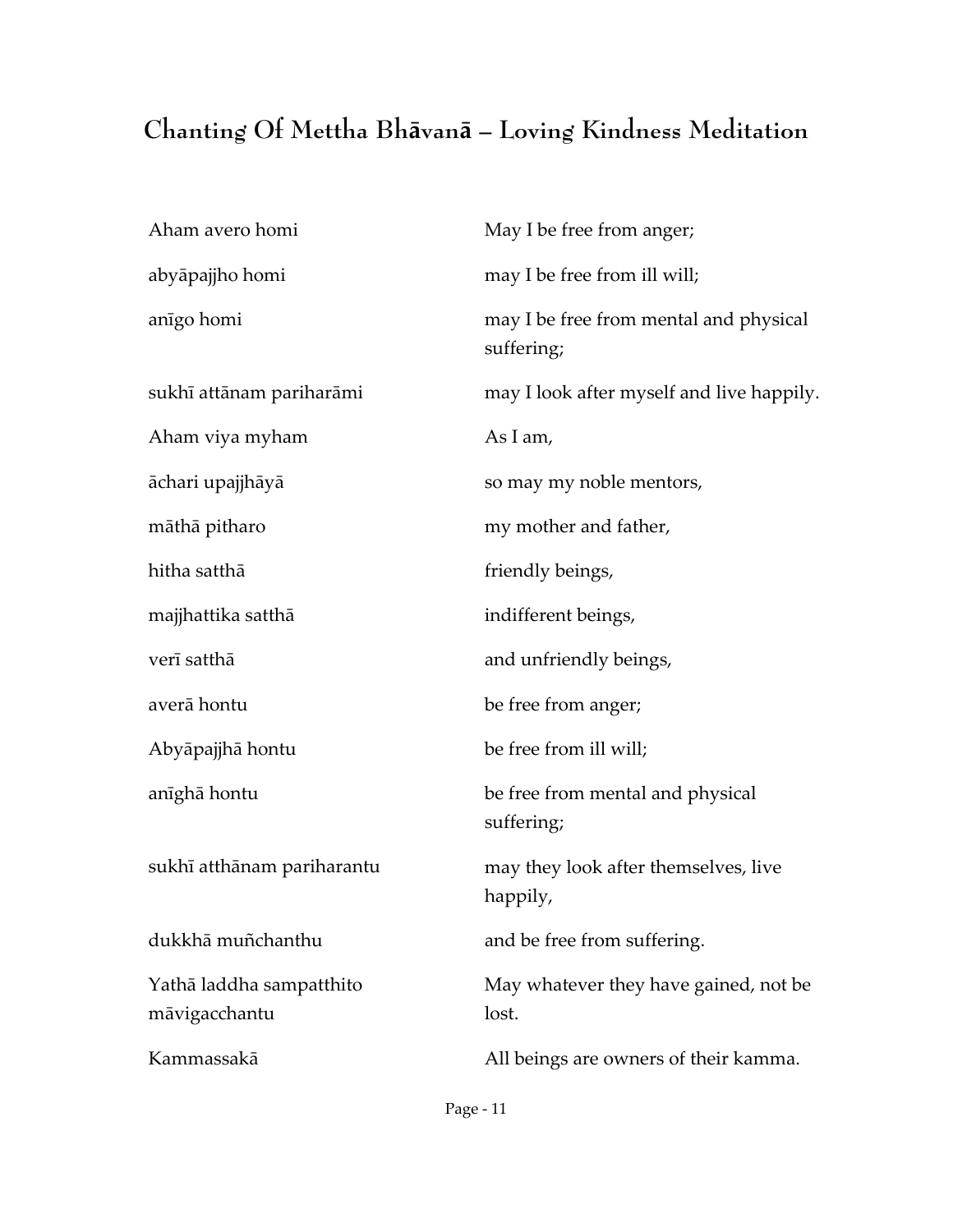# **Chanting Of Mettha Bhāvanā – Loving Kindness Meditation**

| May I be free from anger;                            |
|------------------------------------------------------|
| may I be free from ill will;                         |
| may I be free from mental and physical<br>suffering; |
| may I look after myself and live happily.            |
| As I am,                                             |
| so may my noble mentors,                             |
| my mother and father,                                |
| friendly beings,                                     |
| indifferent beings,                                  |
| and unfriendly beings,                               |
| be free from anger;                                  |
| be free from ill will;                               |
| be free from mental and physical<br>suffering;       |
| may they look after themselves, live<br>happily,     |
| and be free from suffering.                          |
| May whatever they have gained, not be<br>lost.       |
| All beings are owners of their kamma.                |
|                                                      |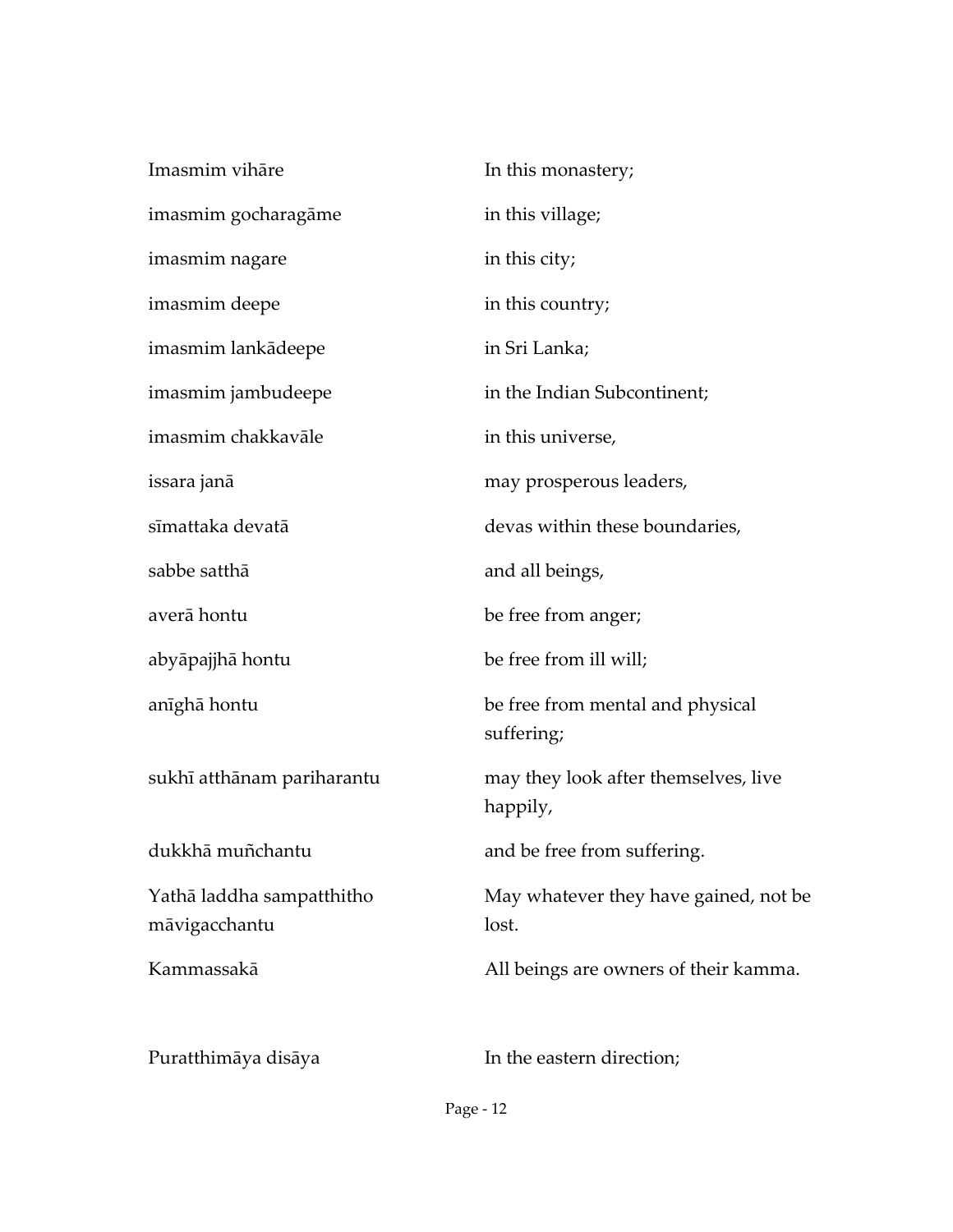| Imasmim vihāre                             | In this monastery;                               |
|--------------------------------------------|--------------------------------------------------|
| imasmim gocharagāme                        | in this village;                                 |
| imasmim nagare                             | in this city;                                    |
| imasmim deepe                              | in this country;                                 |
| imasmim lankādeepe                         | in Sri Lanka;                                    |
| imasmim jambudeepe                         | in the Indian Subcontinent;                      |
| imasmim chakkavāle                         | in this universe,                                |
| issara janā                                | may prosperous leaders,                          |
| sīmattaka devatā                           | devas within these boundaries,                   |
| sabbe satthā                               | and all beings,                                  |
| averā hontu                                | be free from anger;                              |
| abyāpajjhā hontu                           | be free from ill will;                           |
| anīghā hontu                               | be free from mental and physical<br>suffering;   |
| sukhī atthānam pariharantu                 | may they look after themselves, live<br>happily, |
| dukkhā muñchantu                           | and be free from suffering.                      |
| Yathā laddha sampatthitho<br>māvigacchantu | May whatever they have gained, not be<br>lost.   |
| Kammassakā                                 | All beings are owners of their kamma.            |
| Puratthimāya disāya                        | In the eastern direction;                        |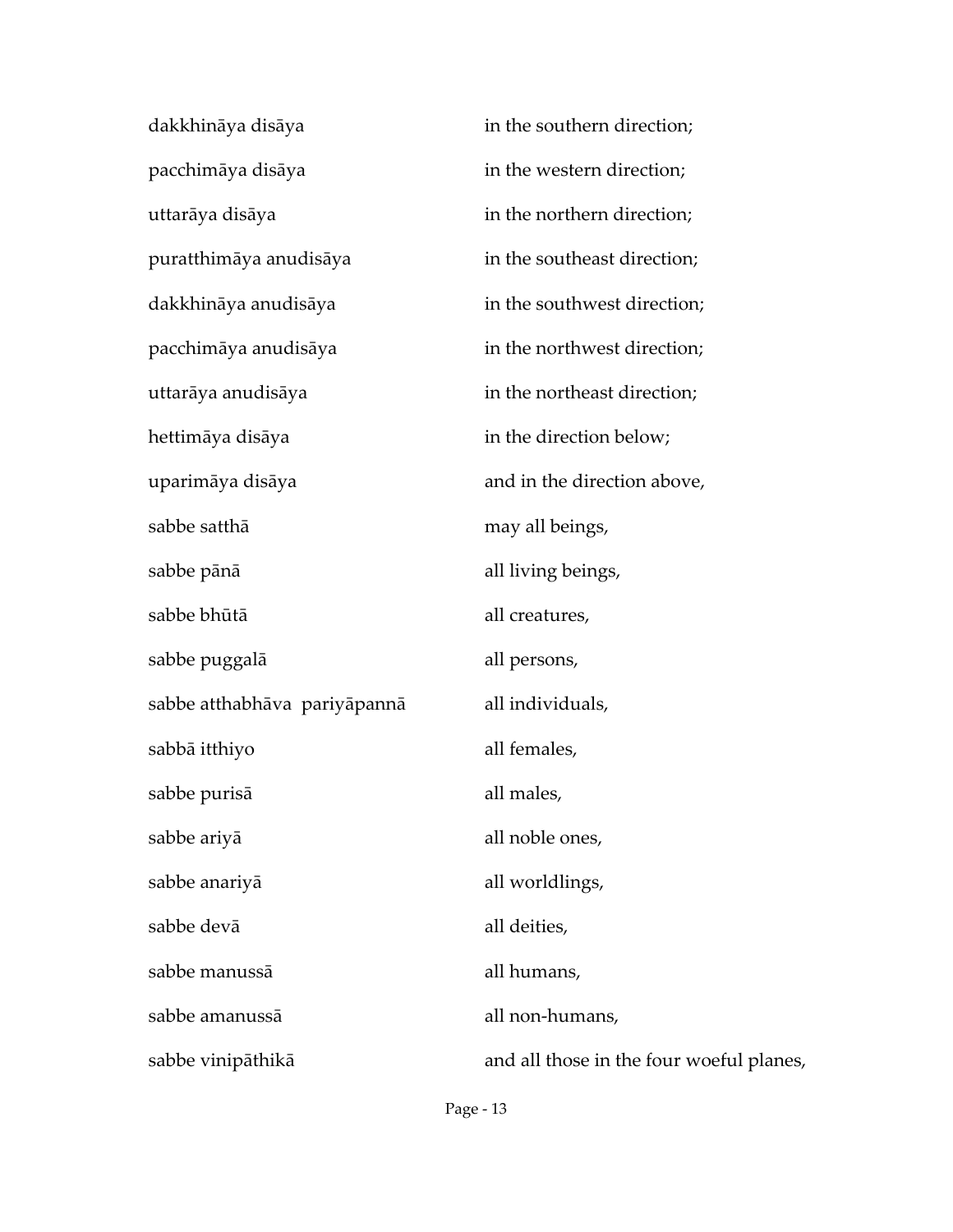| dakkhināya disāya            | in the southern direction;               |
|------------------------------|------------------------------------------|
| pacchimāya disāya            | in the western direction;                |
| uttarāya disāya              | in the northern direction;               |
| puratthimāya anudisāya       | in the southeast direction;              |
| dakkhināya anudisāya         | in the southwest direction;              |
| pacchimāya anudisāya         | in the northwest direction;              |
| uttarāya anudisāya           | in the northeast direction;              |
| hettimāya disāya             | in the direction below;                  |
| uparimāya disāya             | and in the direction above,              |
| sabbe satthā                 | may all beings,                          |
| sabbe pānā                   | all living beings,                       |
| sabbe bhūtā                  | all creatures,                           |
| sabbe puggalā                | all persons,                             |
| sabbe atthabhāva pariyāpannā | all individuals,                         |
| sabbā itthiyo                | all females,                             |
| sabbe purisā                 | all males,                               |
| sabbe ariyā                  | all noble ones,                          |
| sabbe anariyā                | all worldlings,                          |
| sabbe devā                   | all deities,                             |
| sabbe manussā                | all humans,                              |
| sabbe amanussā               | all non-humans,                          |
| sabbe vinipāthikā            | and all those in the four woeful planes, |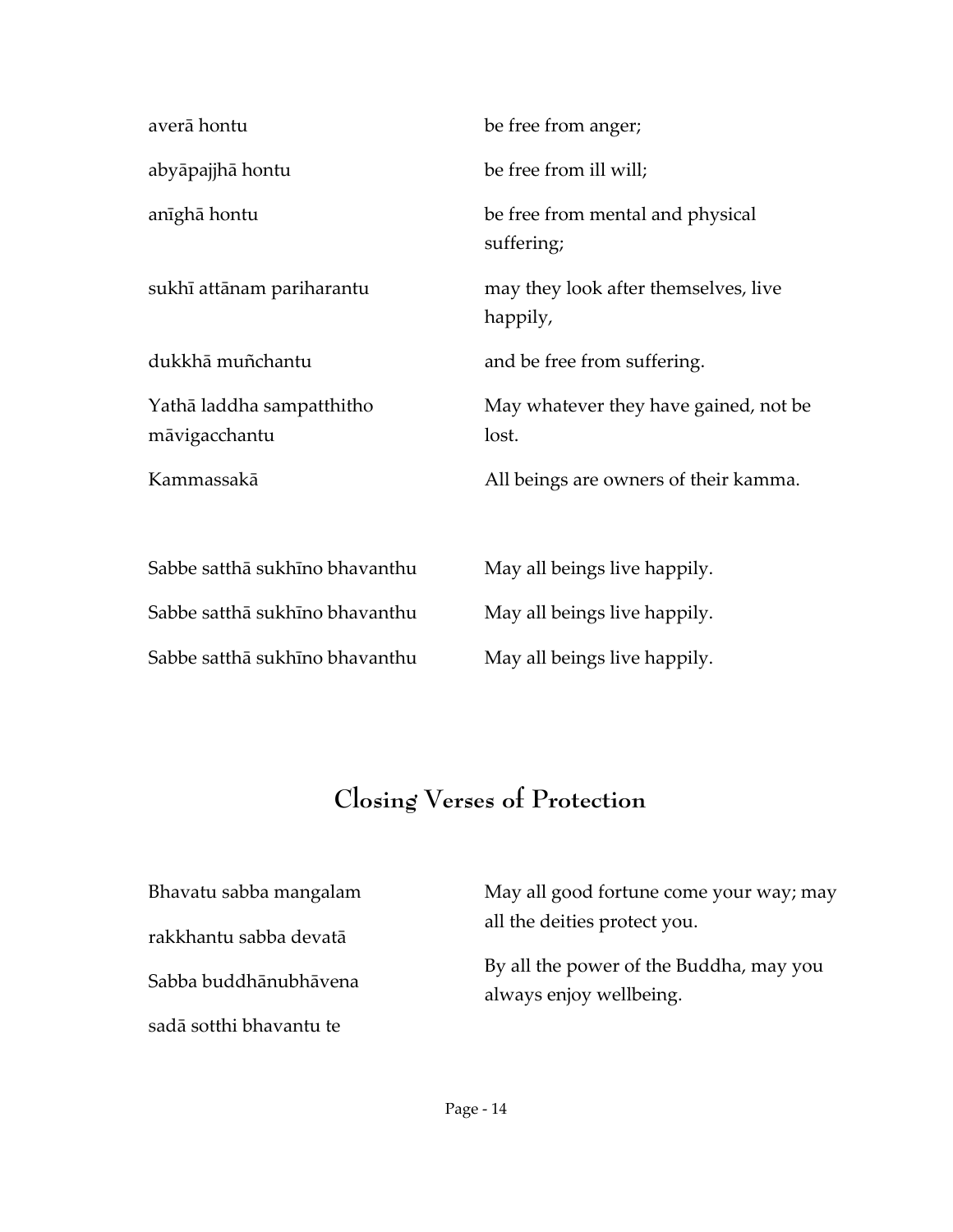| averā hontu                                | be free from anger;                              |
|--------------------------------------------|--------------------------------------------------|
| abyāpajjhā hontu                           | be free from ill will;                           |
| anīghā hontu                               | be free from mental and physical<br>suffering;   |
| sukhī attānam pariharantu                  | may they look after themselves, live<br>happily, |
| dukkhā muñchantu                           | and be free from suffering.                      |
| Yathā laddha sampatthitho<br>māvigacchantu | May whatever they have gained, not be<br>lost.   |
| Kammassakā                                 | All beings are owners of their kamma.            |
|                                            |                                                  |
| Sabbe satthā sukhīno bhavanthu             | May all beings live happily.                     |
| Sabbe satthā sukhīno bhavanthu             | May all beings live happily.                     |
| Sabbe satthā sukhīno bhavanthu             | May all beings live happily.                     |

# **Closing Verses of Protection**

| Bhavatu sabba mangalam  | May all good fortune come your way; may                            |  |
|-------------------------|--------------------------------------------------------------------|--|
| rakkhantu sabba devatā  | all the deities protect you.                                       |  |
| Sabba buddhānubhāvena   | By all the power of the Buddha, may you<br>always enjoy wellbeing. |  |
| sadā sotthi bhavantu te |                                                                    |  |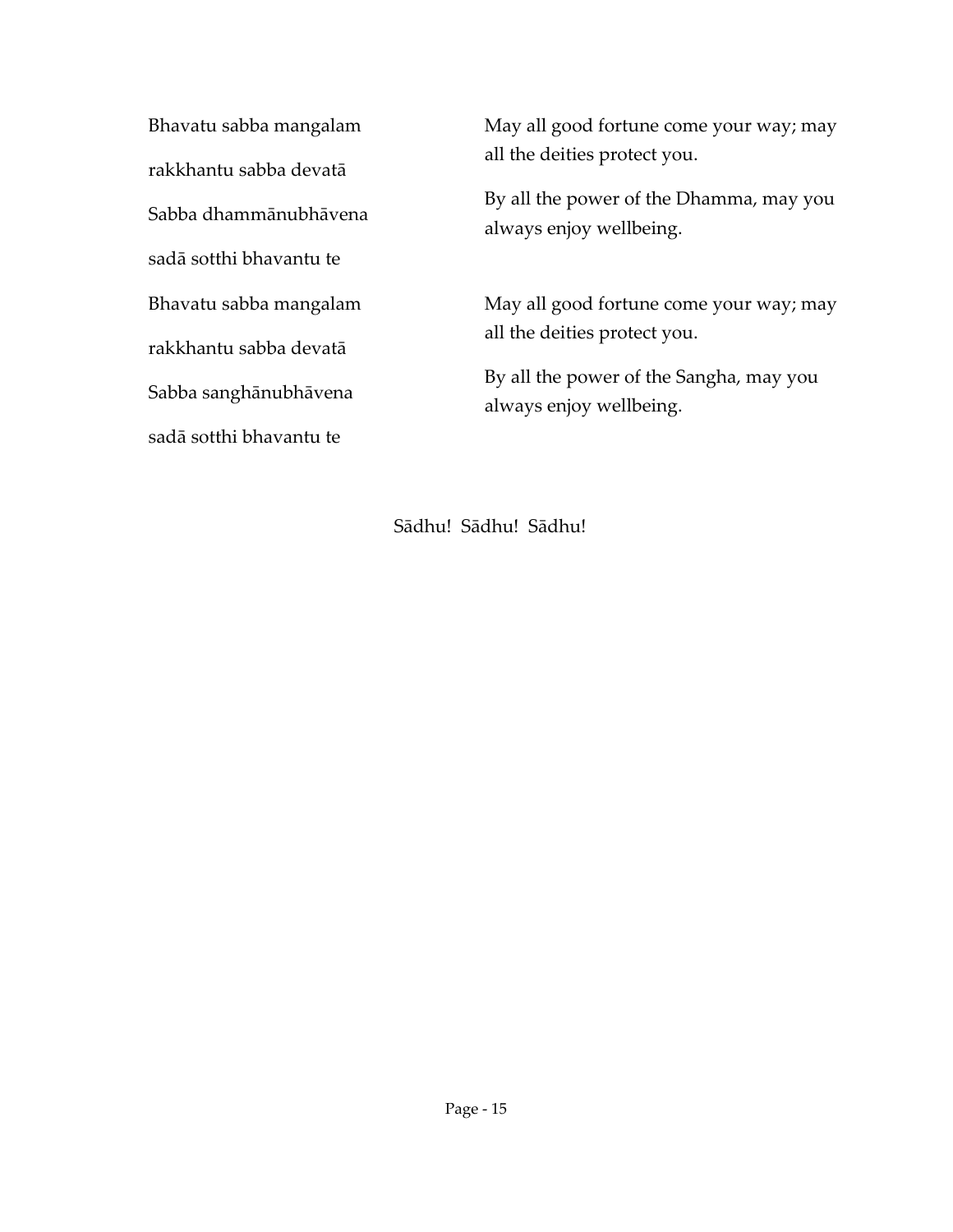Bhavatu sabba mangalam rakkhantu sabba devatā Sabba dhammānubhāvena sadā sotthi bhavantu te Bhavatu sabba mangalam rakkhantu sabba devatā Sabba sanghānubhāvena sadā sotthi bhavantu te

May all good fortune come your way; may all the deities protect you.

By all the power of the Dhamma, may you always enjoy wellbeing.

May all good fortune come your way; may all the deities protect you.

By all the power of the Sangha, may you always enjoy wellbeing.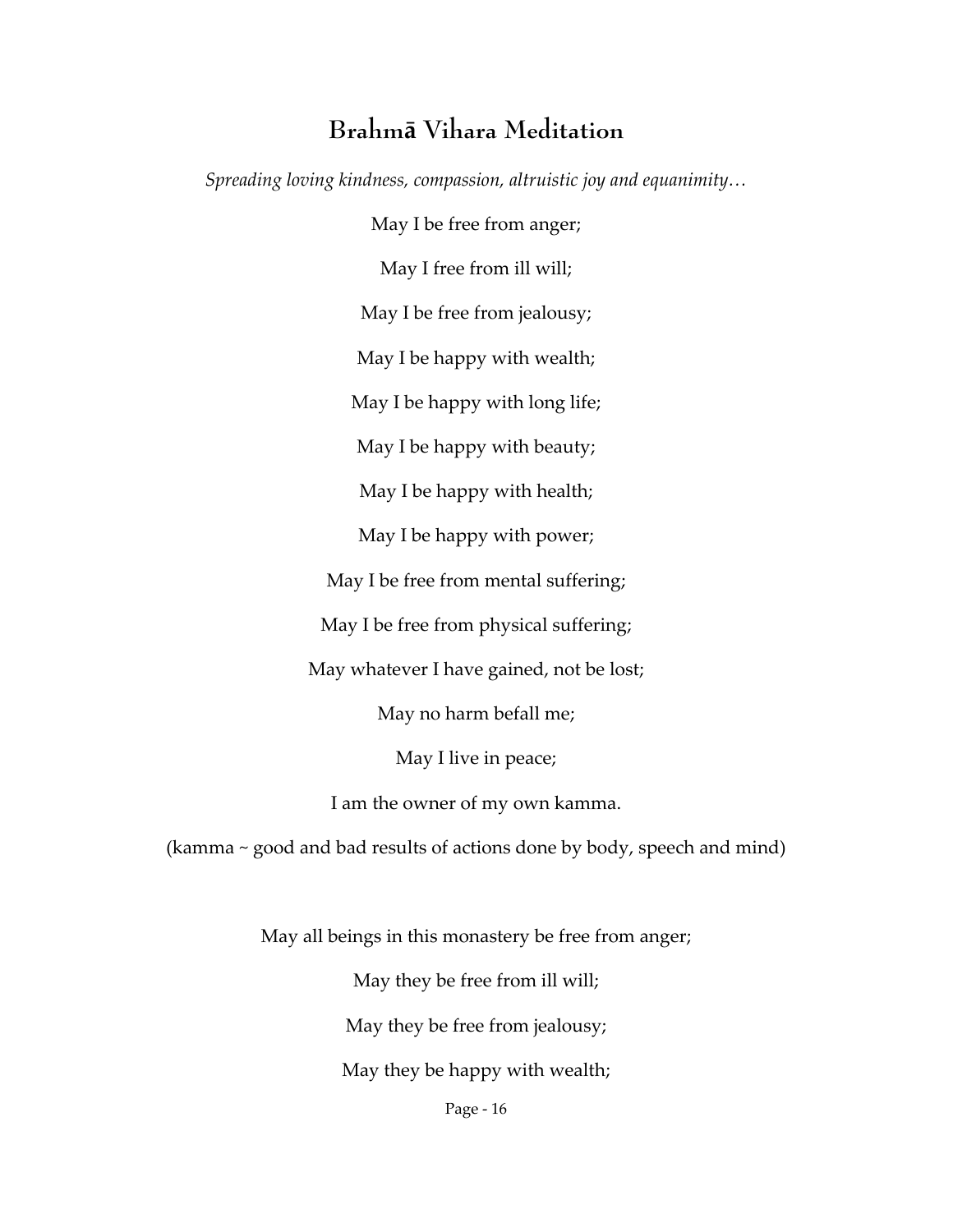### **Brahmā Vihara Meditation**

*Spreading loving kindness, compassion, altruistic joy and equanimity…*

May I be free from anger; May I free from ill will; May I be free from jealousy; May I be happy with wealth; May I be happy with long life; May I be happy with beauty; May I be happy with health; May I be happy with power; May I be free from mental suffering; May I be free from physical suffering; May whatever I have gained, not be lost; May no harm befall me; May I live in peace; I am the owner of my own kamma.

(kamma ~ good and bad results of actions done by body, speech and mind)

May all beings in this monastery be free from anger;

May they be free from ill will;

May they be free from jealousy;

May they be happy with wealth;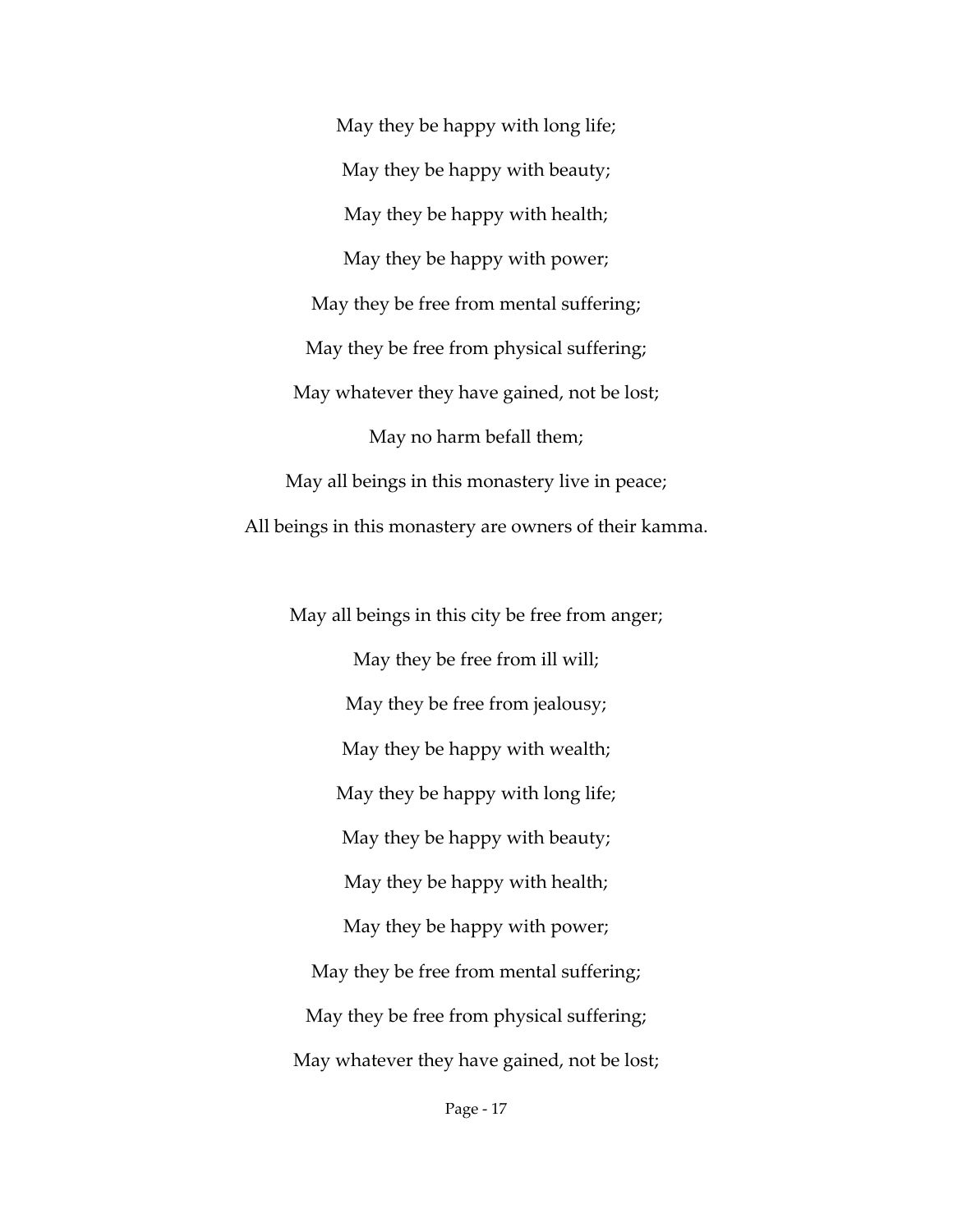May they be happy with long life; May they be happy with beauty; May they be happy with health; May they be happy with power; May they be free from mental suffering; May they be free from physical suffering; May whatever they have gained, not be lost; May no harm befall them; May all beings in this monastery live in peace; All beings in this monastery are owners of their kamma.

May all beings in this city be free from anger; May they be free from ill will; May they be free from jealousy; May they be happy with wealth; May they be happy with long life; May they be happy with beauty; May they be happy with health; May they be happy with power; May they be free from mental suffering; May they be free from physical suffering; May whatever they have gained, not be lost;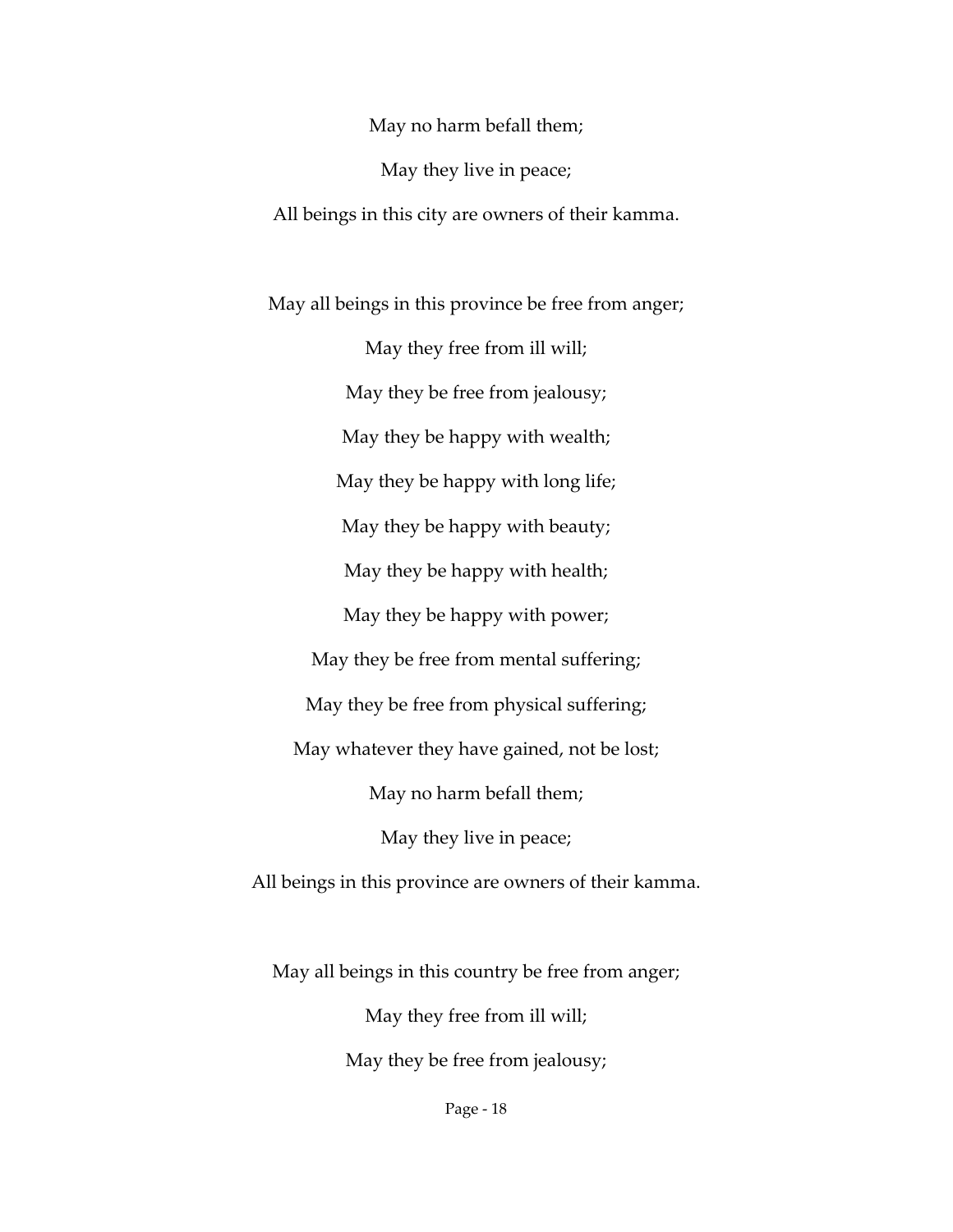May no harm befall them;

May they live in peace;

All beings in this city are owners of their kamma.

May all beings in this province be free from anger; May they free from ill will; May they be free from jealousy; May they be happy with wealth; May they be happy with long life; May they be happy with beauty; May they be happy with health; May they be happy with power; May they be free from mental suffering; May they be free from physical suffering; May whatever they have gained, not be lost; May no harm befall them; May they live in peace; All beings in this province are owners of their kamma.

May all beings in this country be free from anger; May they free from ill will; May they be free from jealousy;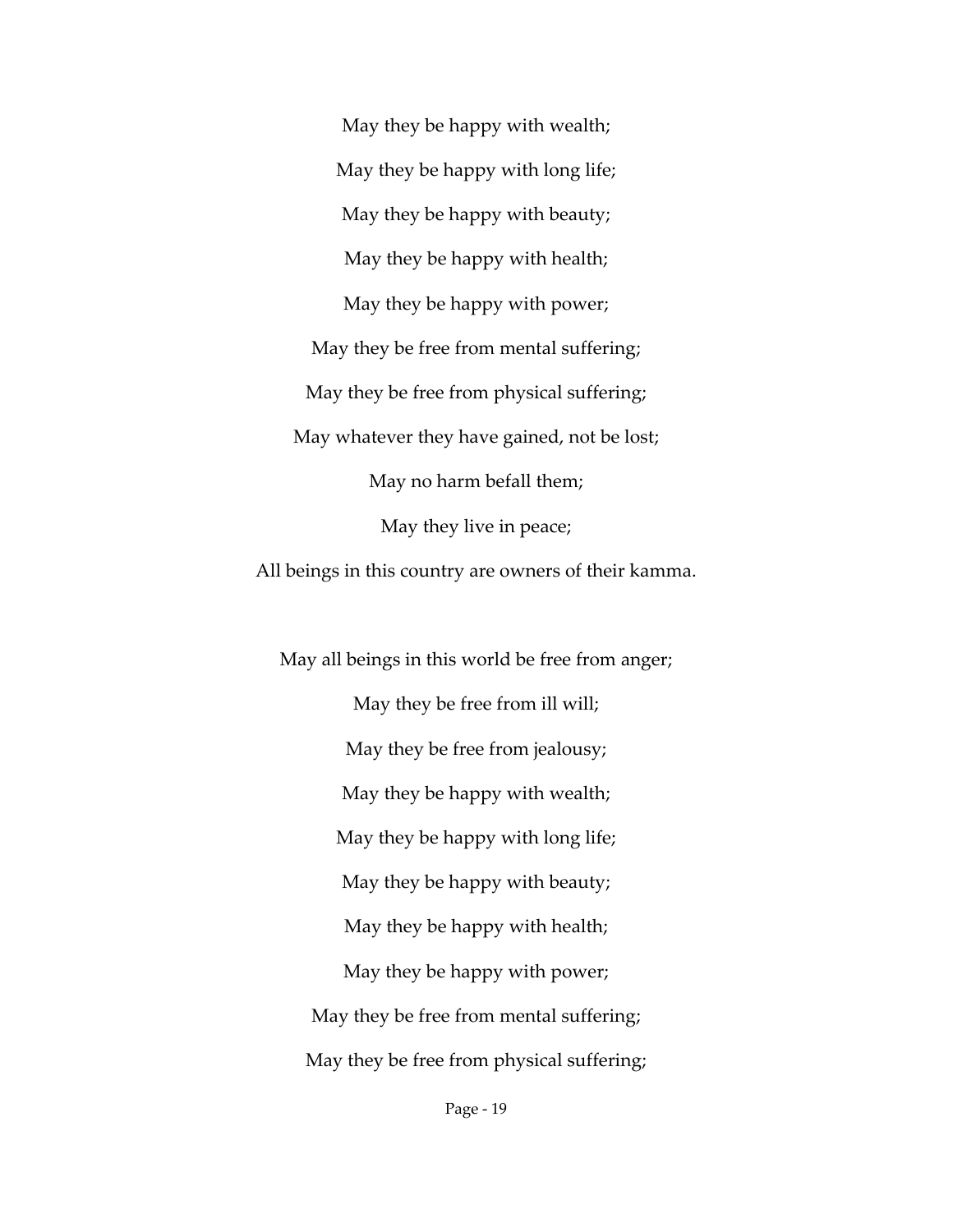May they be happy with wealth; May they be happy with long life; May they be happy with beauty; May they be happy with health; May they be happy with power; May they be free from mental suffering; May they be free from physical suffering; May whatever they have gained, not be lost; May no harm befall them; May they live in peace;

All beings in this country are owners of their kamma.

May all beings in this world be free from anger; May they be free from ill will; May they be free from jealousy; May they be happy with wealth; May they be happy with long life; May they be happy with beauty; May they be happy with health; May they be happy with power; May they be free from mental suffering; May they be free from physical suffering;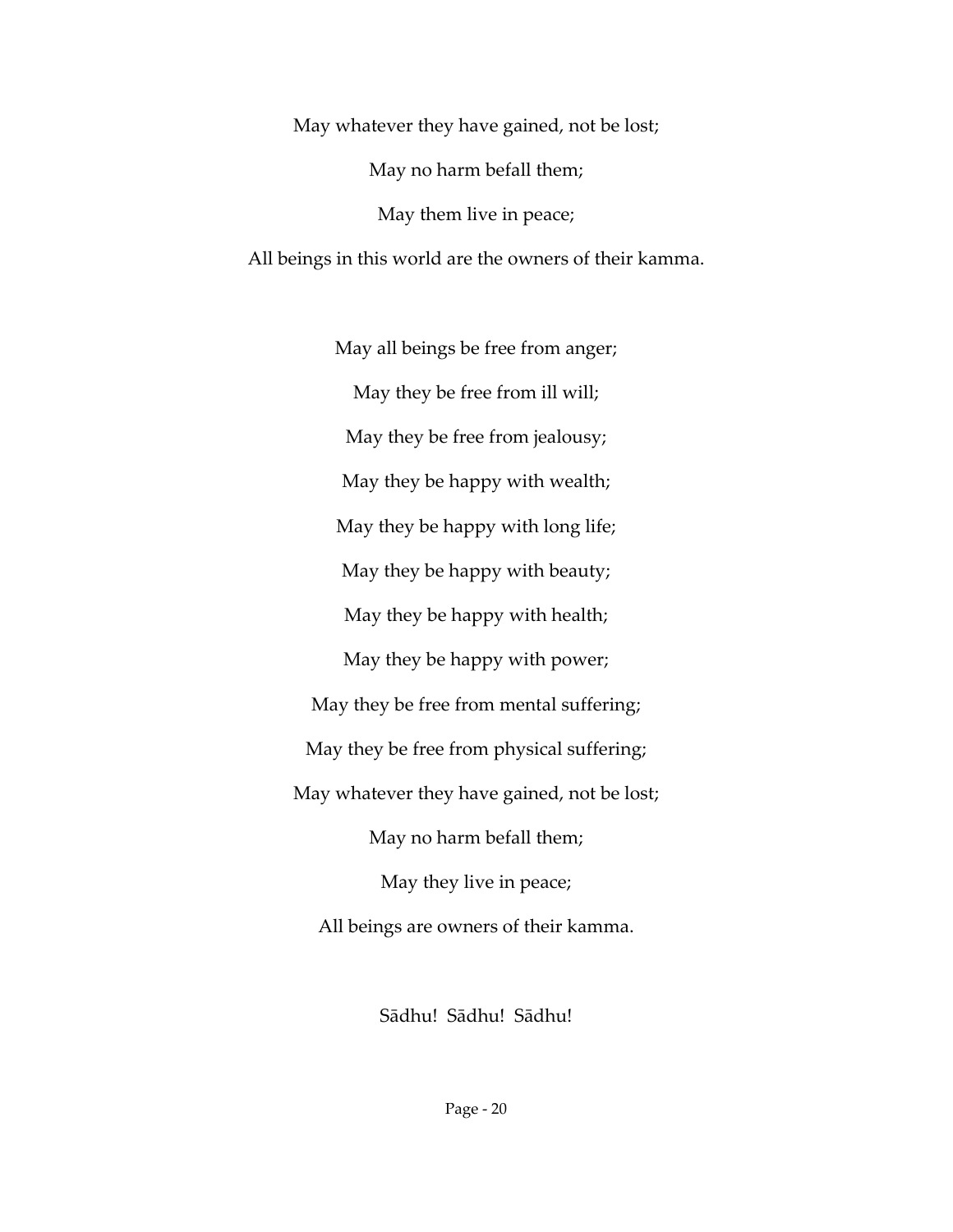May whatever they have gained, not be lost; May no harm befall them; May them live in peace; All beings in this world are the owners of their kamma.

May all beings be free from anger; May they be free from ill will; May they be free from jealousy; May they be happy with wealth; May they be happy with long life; May they be happy with beauty; May they be happy with health; May they be happy with power; May they be free from mental suffering; May they be free from physical suffering; May whatever they have gained, not be lost; May no harm befall them; May they live in peace; All beings are owners of their kamma.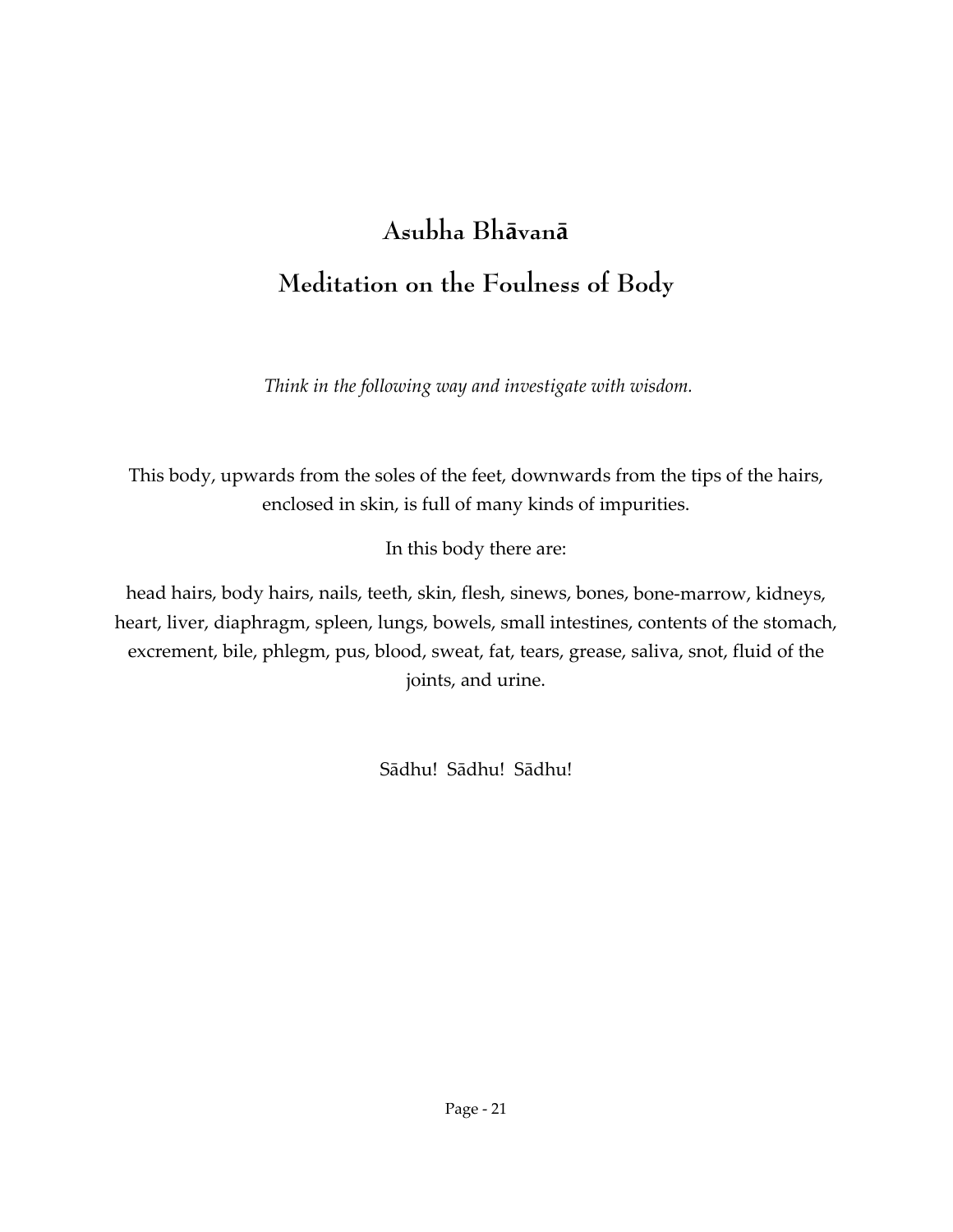# **Asubha Bhāvanā Meditation on the Foulness of Body**

*Think in the following way and investigate with wisdom.*

This body, upwards from the soles of the feet, downwards from the tips of the hairs, enclosed in skin, is full of many kinds of impurities.

In this body there are:

head hairs, body hairs, nails, teeth, skin, flesh, sinews, bones, bone‐marrow, kidneys, heart, liver, diaphragm, spleen, lungs, bowels, small intestines, contents of the stomach, excrement, bile, phlegm, pus, blood, sweat, fat, tears, grease, saliva, snot, fluid of the joints, and urine.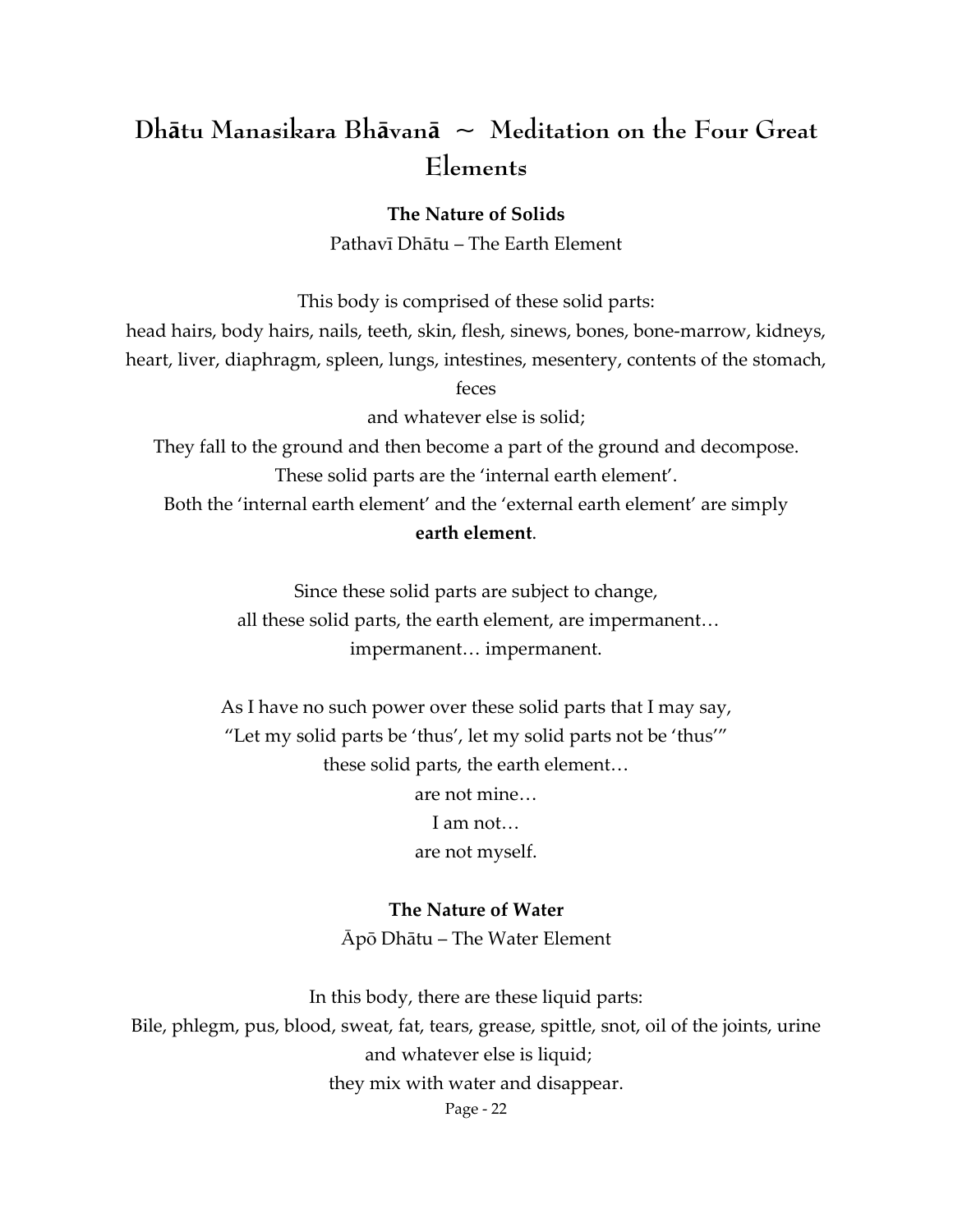# **Dhātu Manasikara Bhāvanā ~ Meditation on the Four Great Elements**

**The Nature of Solids**

Pathavī Dhātu – The Earth Element

This body is comprised of these solid parts:

head hairs, body hairs, nails, teeth, skin, flesh, sinews, bones, bone‐marrow, kidneys,

heart, liver, diaphragm, spleen, lungs, intestines, mesentery, contents of the stomach,

feces

and whatever else is solid;

They fall to the ground and then become a part of the ground and decompose. These solid parts are the 'internal earth element'.

Both the 'internal earth element' and the 'external earth element' are simply **earth element**.

> Since these solid parts are subject to change, all these solid parts, the earth element, are impermanent… impermanent… impermanent.

As I have no such power over these solid parts that I may say, "Let my solid parts be 'thus', let my solid parts not be 'thus'" these solid parts, the earth element… are not mine… I am not… are not myself.

> **The Nature of Water** Ᾱpō Dhātu – The Water Element

In this body, there are these liquid parts: Bile, phlegm, pus, blood, sweat, fat, tears, grease, spittle, snot, oil of the joints, urine and whatever else is liquid; they mix with water and disappear.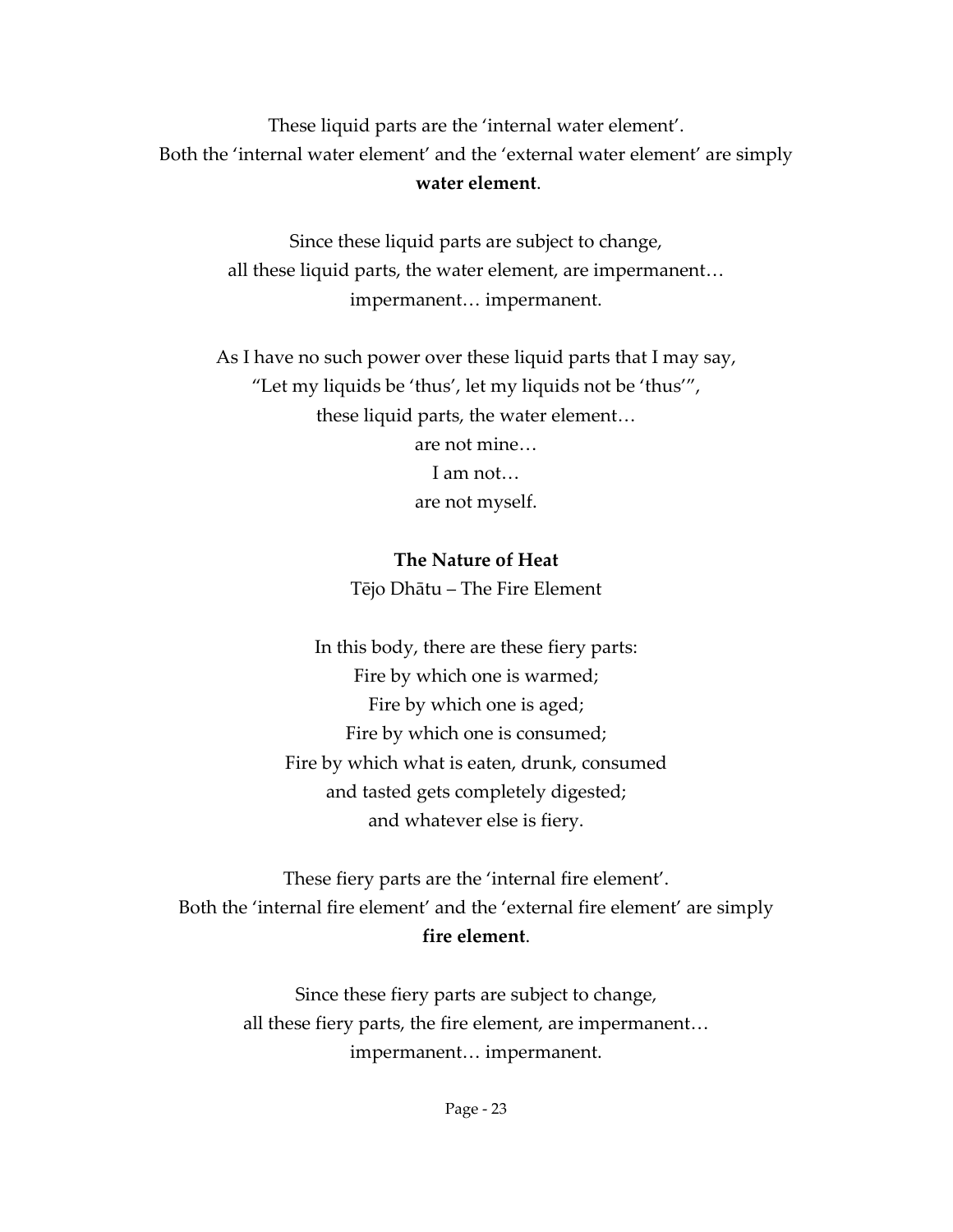These liquid parts are the 'internal water element'. Both the 'internal water element' and the 'external water element' are simply **water element**.

> Since these liquid parts are subject to change, all these liquid parts, the water element, are impermanent… impermanent… impermanent.

As I have no such power over these liquid parts that I may say, "Let my liquids be 'thus', let my liquids not be 'thus'", these liquid parts, the water element… are not mine… I am not…

are not myself.

#### **The Nature of Heat**

Tējo Dhātu – The Fire Element

In this body, there are these fiery parts: Fire by which one is warmed; Fire by which one is aged; Fire by which one is consumed; Fire by which what is eaten, drunk, consumed and tasted gets completely digested; and whatever else is fiery.

These fiery parts are the 'internal fire element'. Both the 'internal fire element' and the 'external fire element' are simply **fire element**.

> Since these fiery parts are subject to change, all these fiery parts, the fire element, are impermanent… impermanent… impermanent.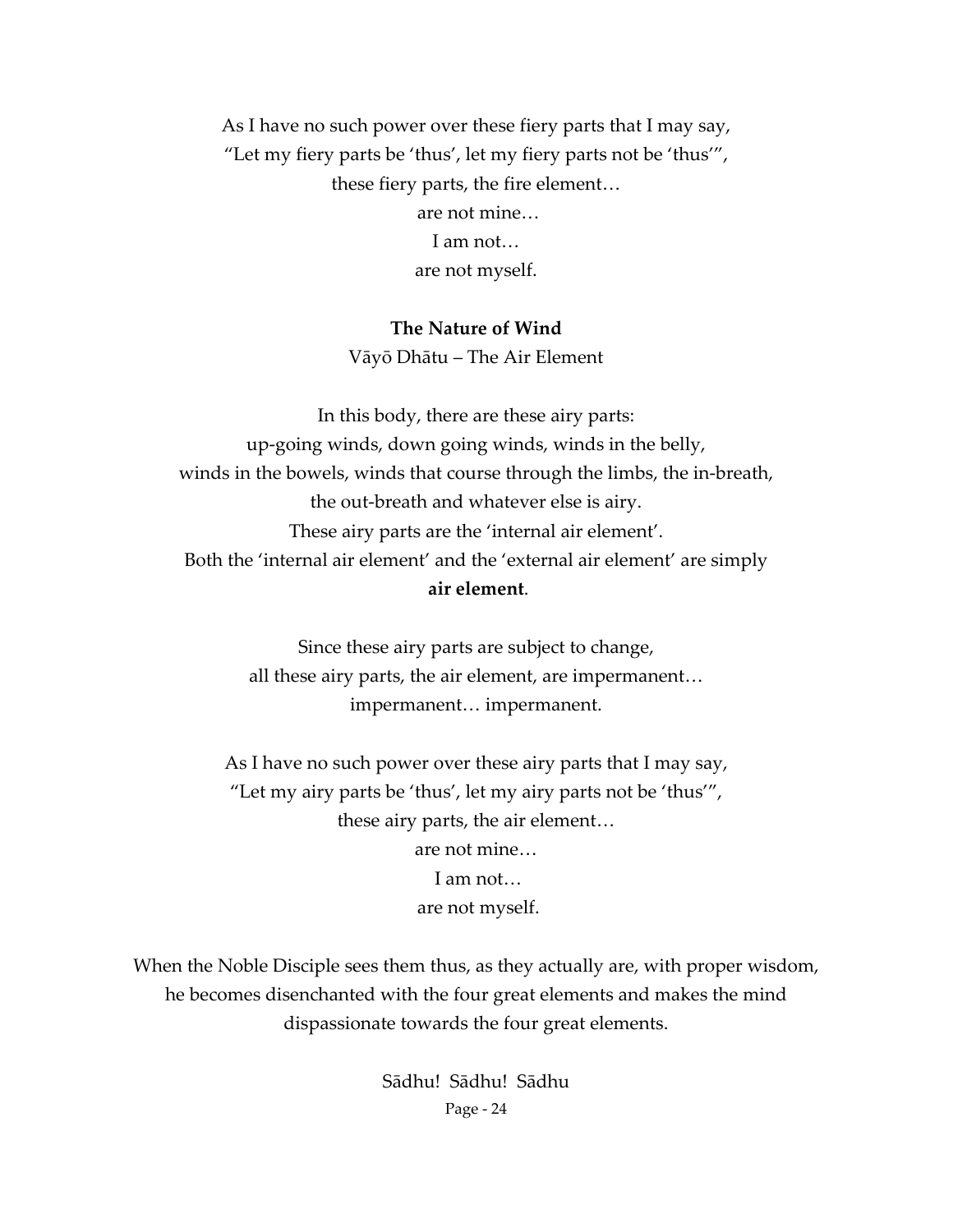As I have no such power over these fiery parts that I may say, "Let my fiery parts be 'thus', let my fiery parts not be 'thus'", these fiery parts, the fire element… are not mine… I am not… are not myself.

#### **The Nature of Wind**

Vāyō Dhātu – The Air Element

In this body, there are these airy parts: up‐going winds, down going winds, winds in the belly, winds in the bowels, winds that course through the limbs, the in‐breath, the out‐breath and whatever else is airy. These airy parts are the 'internal air element'. Both the 'internal air element' and the 'external air element' are simply **air element**.

> Since these airy parts are subject to change, all these airy parts, the air element, are impermanent… impermanent… impermanent.

As I have no such power over these airy parts that I may say, "Let my airy parts be 'thus', let my airy parts not be 'thus'", these airy parts, the air element… are not mine… I am not… are not myself.

When the Noble Disciple sees them thus, as they actually are, with proper wisdom, he becomes disenchanted with the four great elements and makes the mind dispassionate towards the four great elements.

> Page ‐ 24 Sādhu! Sādhu! Sādhu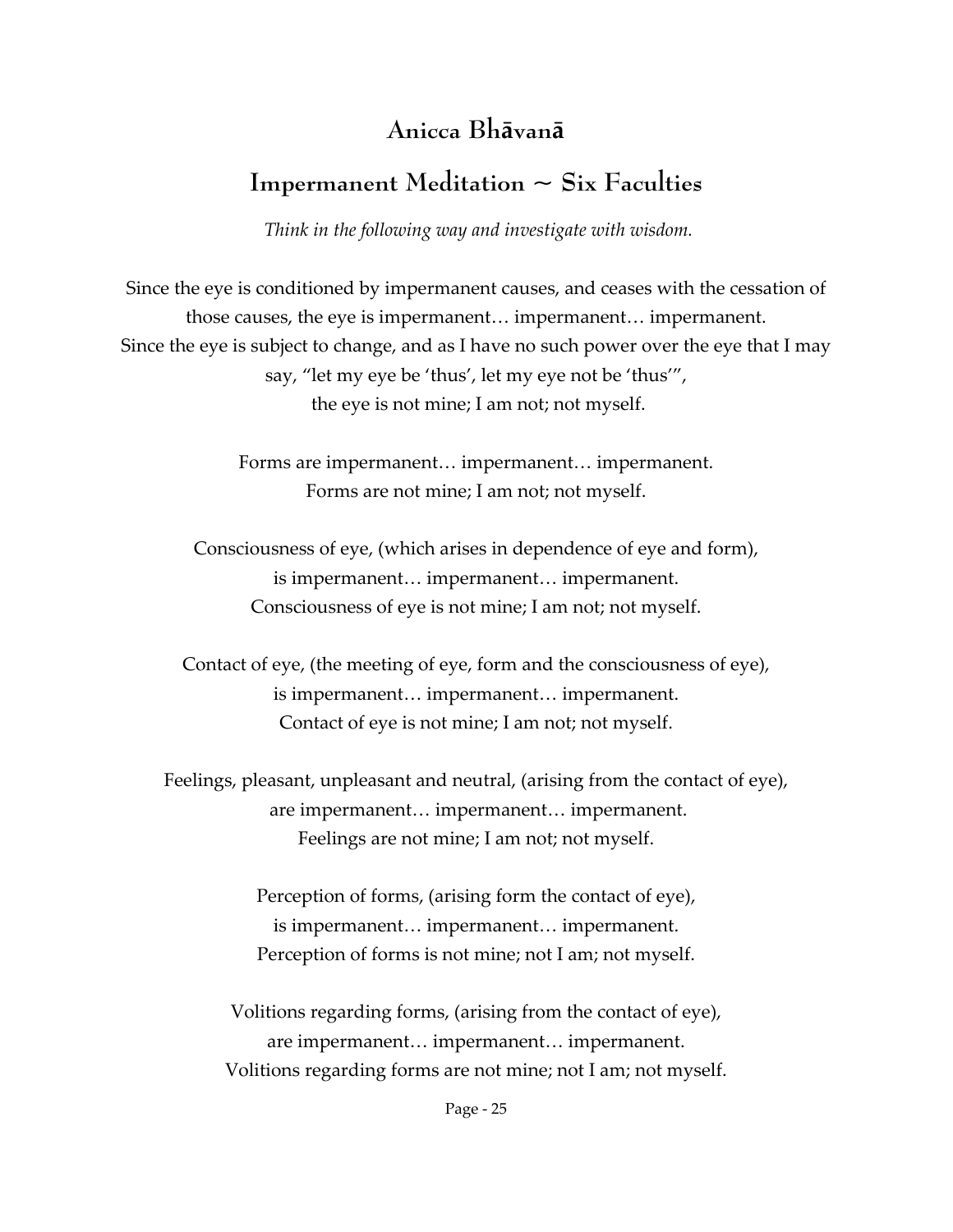## **Anicca Bhāvanā**

## **Impermanent Meditation ~ Six Faculties**

*Think in the following way and investigate with wisdom.*

Since the eye is conditioned by impermanent causes, and ceases with the cessation of those causes, the eye is impermanent… impermanent… impermanent. Since the eye is subject to change, and as I have no such power over the eye that I may say, "let my eye be 'thus', let my eye not be 'thus'", the eye is not mine; I am not; not myself.

> Forms are impermanent… impermanent… impermanent. Forms are not mine; I am not; not myself.

Consciousness of eye, (which arises in dependence of eye and form), is impermanent… impermanent… impermanent. Consciousness of eye is not mine; I am not; not myself.

Contact of eye, (the meeting of eye, form and the consciousness of eye), is impermanent… impermanent… impermanent. Contact of eye is not mine; I am not; not myself.

Feelings, pleasant, unpleasant and neutral, (arising from the contact of eye), are impermanent… impermanent… impermanent. Feelings are not mine; I am not; not myself.

> Perception of forms, (arising form the contact of eye), is impermanent… impermanent… impermanent. Perception of forms is not mine; not I am; not myself.

Volitions regarding forms, (arising from the contact of eye), are impermanent… impermanent… impermanent. Volitions regarding forms are not mine; not I am; not myself.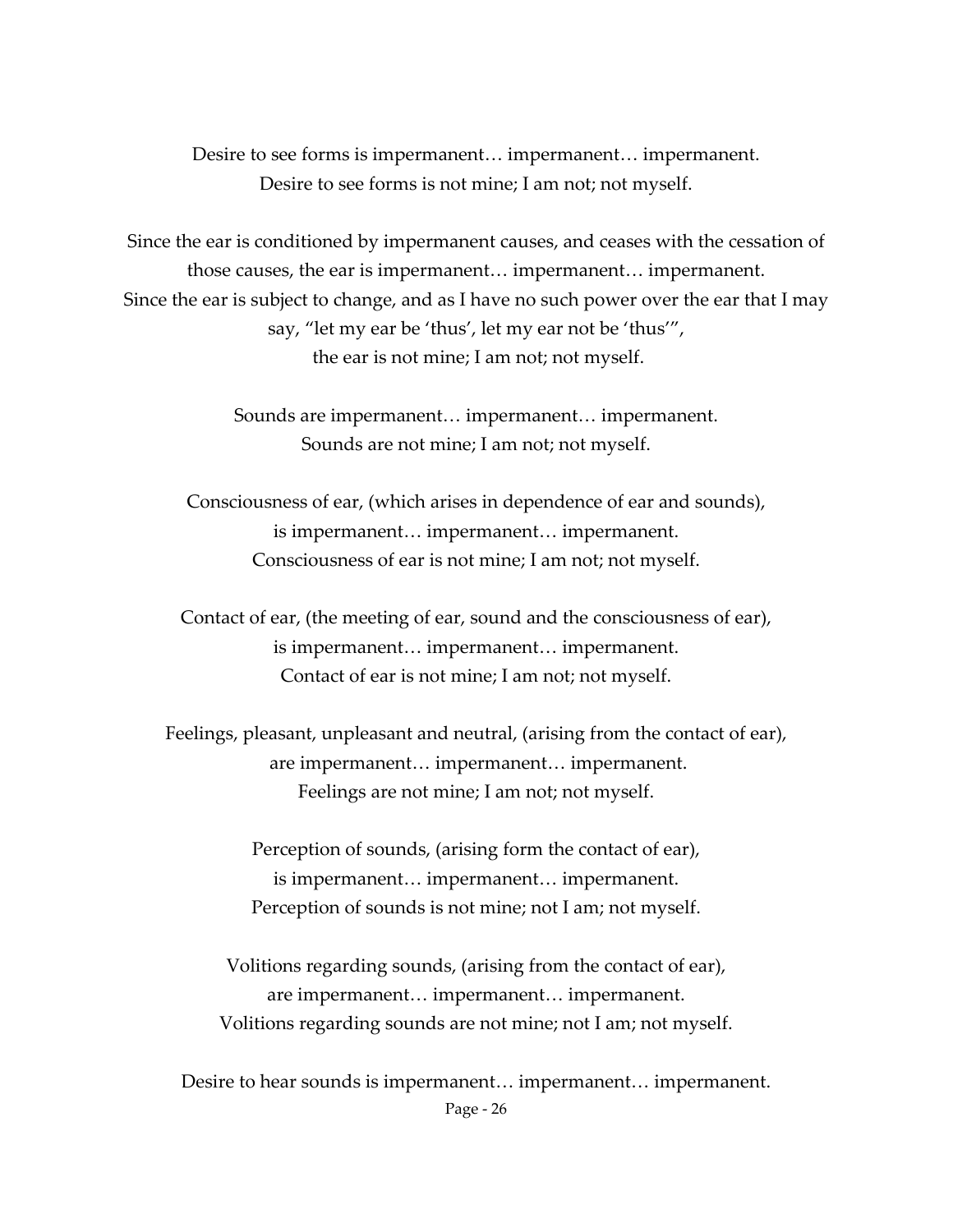Desire to see forms is impermanent… impermanent… impermanent. Desire to see forms is not mine; I am not; not myself.

Since the ear is conditioned by impermanent causes, and ceases with the cessation of those causes, the ear is impermanent… impermanent… impermanent. Since the ear is subject to change, and as I have no such power over the ear that I may say, "let my ear be 'thus', let my ear not be 'thus'", the ear is not mine; I am not; not myself.

> Sounds are impermanent… impermanent… impermanent. Sounds are not mine; I am not; not myself.

Consciousness of ear, (which arises in dependence of ear and sounds), is impermanent… impermanent… impermanent. Consciousness of ear is not mine; I am not; not myself.

Contact of ear, (the meeting of ear, sound and the consciousness of ear), is impermanent… impermanent… impermanent. Contact of ear is not mine; I am not; not myself.

Feelings, pleasant, unpleasant and neutral, (arising from the contact of ear), are impermanent… impermanent… impermanent. Feelings are not mine; I am not; not myself.

> Perception of sounds, (arising form the contact of ear), is impermanent… impermanent… impermanent. Perception of sounds is not mine; not I am; not myself.

Volitions regarding sounds, (arising from the contact of ear), are impermanent… impermanent… impermanent. Volitions regarding sounds are not mine; not I am; not myself.

Page ‐ 26 Desire to hear sounds is impermanent… impermanent… impermanent.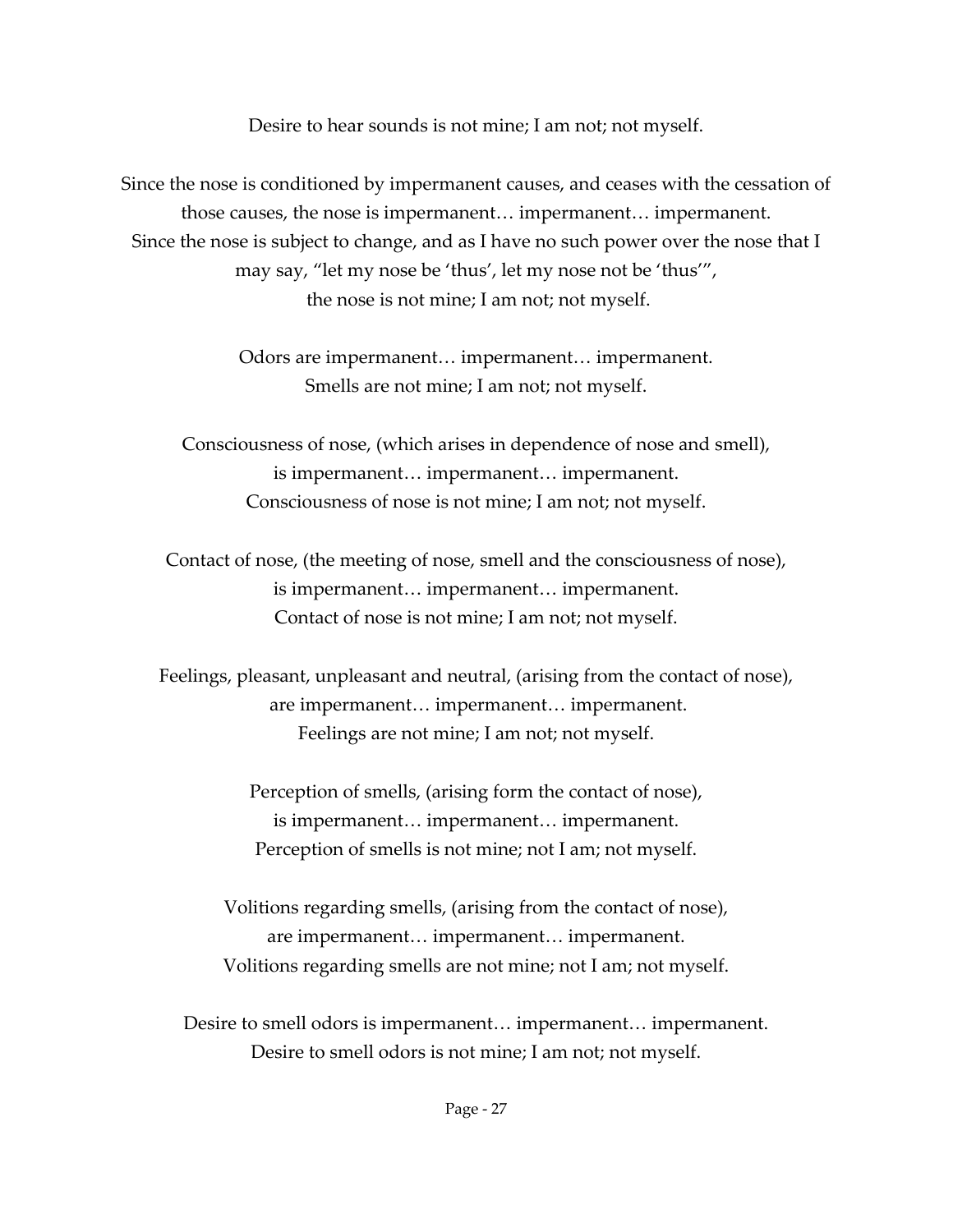Desire to hear sounds is not mine; I am not; not myself.

Since the nose is conditioned by impermanent causes, and ceases with the cessation of those causes, the nose is impermanent… impermanent… impermanent. Since the nose is subject to change, and as I have no such power over the nose that I may say, "let my nose be 'thus', let my nose not be 'thus'", the nose is not mine; I am not; not myself.

> Odors are impermanent… impermanent… impermanent. Smells are not mine; I am not; not myself.

Consciousness of nose, (which arises in dependence of nose and smell), is impermanent… impermanent… impermanent. Consciousness of nose is not mine; I am not; not myself.

Contact of nose, (the meeting of nose, smell and the consciousness of nose), is impermanent… impermanent… impermanent. Contact of nose is not mine; I am not; not myself.

Feelings, pleasant, unpleasant and neutral, (arising from the contact of nose), are impermanent… impermanent… impermanent. Feelings are not mine; I am not; not myself.

> Perception of smells, (arising form the contact of nose), is impermanent… impermanent… impermanent. Perception of smells is not mine; not I am; not myself.

Volitions regarding smells, (arising from the contact of nose), are impermanent… impermanent… impermanent. Volitions regarding smells are not mine; not I am; not myself.

Desire to smell odors is impermanent… impermanent… impermanent. Desire to smell odors is not mine; I am not; not myself.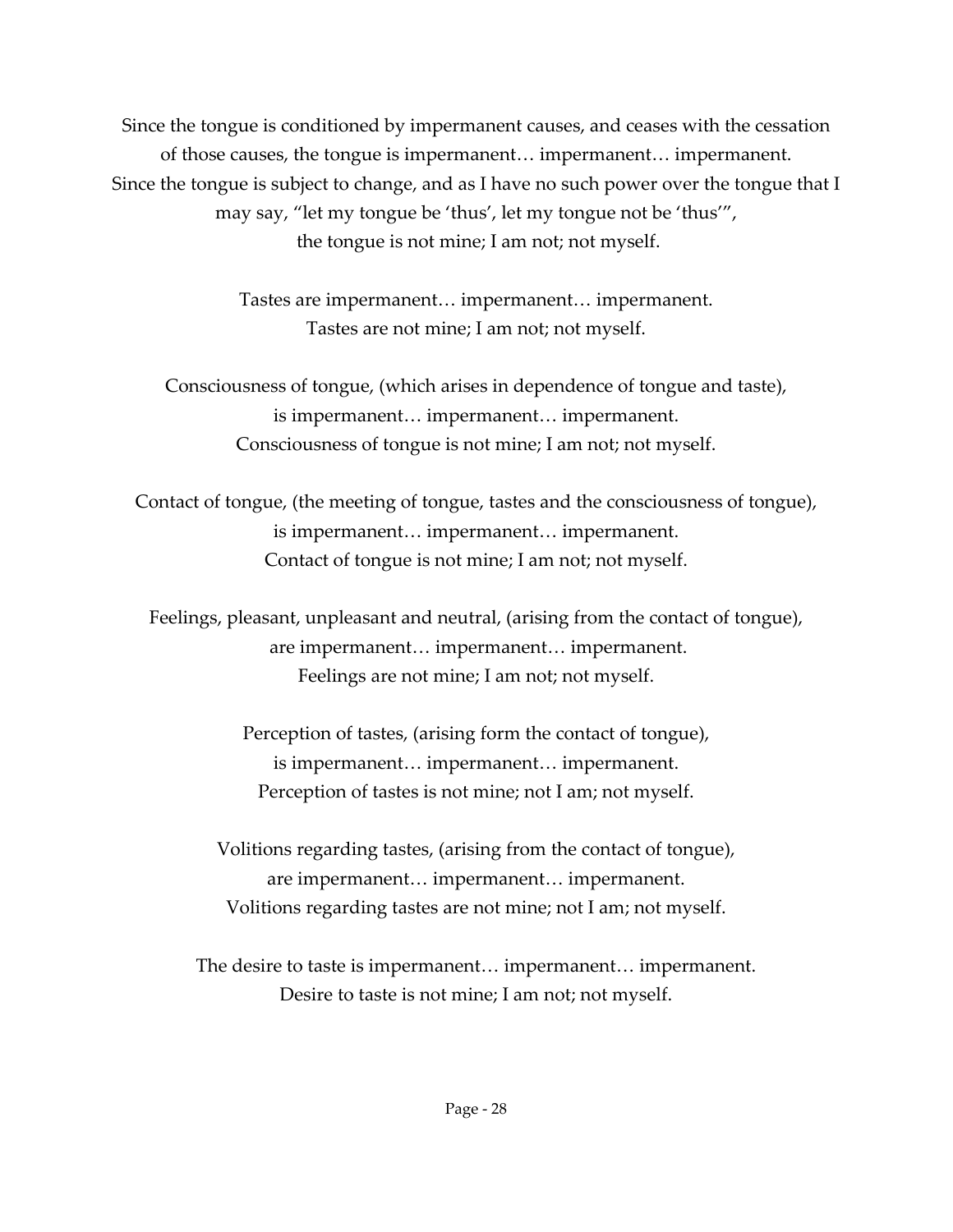Since the tongue is conditioned by impermanent causes, and ceases with the cessation of those causes, the tongue is impermanent… impermanent… impermanent. Since the tongue is subject to change, and as I have no such power over the tongue that I may say, "let my tongue be 'thus', let my tongue not be 'thus'", the tongue is not mine; I am not; not myself.

> Tastes are impermanent… impermanent… impermanent. Tastes are not mine; I am not; not myself.

Consciousness of tongue, (which arises in dependence of tongue and taste), is impermanent… impermanent… impermanent. Consciousness of tongue is not mine; I am not; not myself.

Contact of tongue, (the meeting of tongue, tastes and the consciousness of tongue), is impermanent… impermanent… impermanent. Contact of tongue is not mine; I am not; not myself.

Feelings, pleasant, unpleasant and neutral, (arising from the contact of tongue), are impermanent… impermanent… impermanent. Feelings are not mine; I am not; not myself.

> Perception of tastes, (arising form the contact of tongue), is impermanent… impermanent… impermanent. Perception of tastes is not mine; not I am; not myself.

Volitions regarding tastes, (arising from the contact of tongue), are impermanent… impermanent… impermanent. Volitions regarding tastes are not mine; not I am; not myself.

The desire to taste is impermanent… impermanent… impermanent. Desire to taste is not mine; I am not; not myself.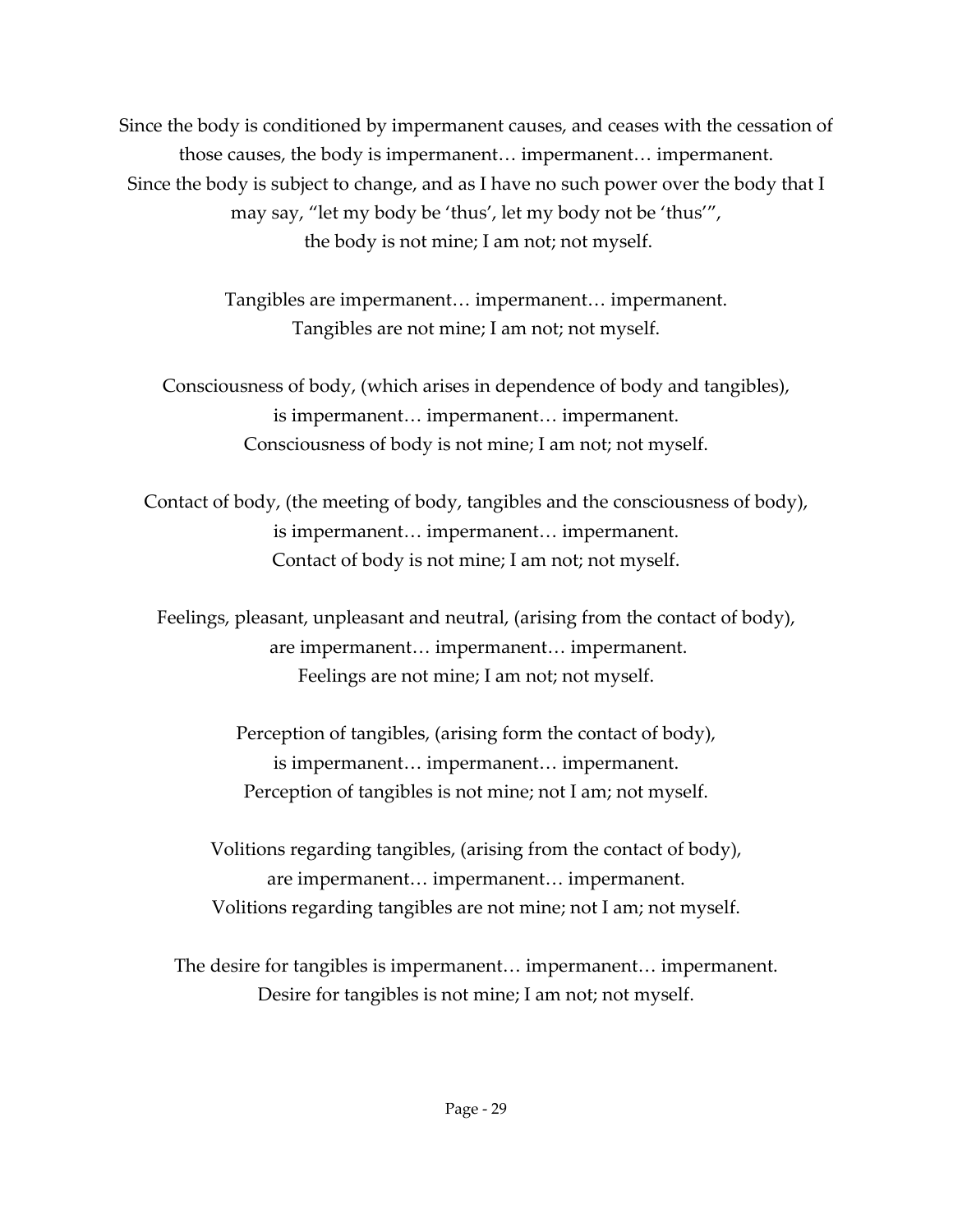Since the body is conditioned by impermanent causes, and ceases with the cessation of those causes, the body is impermanent… impermanent… impermanent. Since the body is subject to change, and as I have no such power over the body that I may say, "let my body be 'thus', let my body not be 'thus'", the body is not mine; I am not; not myself.

> Tangibles are impermanent… impermanent… impermanent. Tangibles are not mine; I am not; not myself.

Consciousness of body, (which arises in dependence of body and tangibles), is impermanent… impermanent… impermanent. Consciousness of body is not mine; I am not; not myself.

Contact of body, (the meeting of body, tangibles and the consciousness of body), is impermanent… impermanent… impermanent. Contact of body is not mine; I am not; not myself.

Feelings, pleasant, unpleasant and neutral, (arising from the contact of body), are impermanent… impermanent… impermanent. Feelings are not mine; I am not; not myself.

> Perception of tangibles, (arising form the contact of body), is impermanent… impermanent… impermanent. Perception of tangibles is not mine; not I am; not myself.

Volitions regarding tangibles, (arising from the contact of body), are impermanent… impermanent… impermanent. Volitions regarding tangibles are not mine; not I am; not myself.

The desire for tangibles is impermanent… impermanent… impermanent. Desire for tangibles is not mine; I am not; not myself.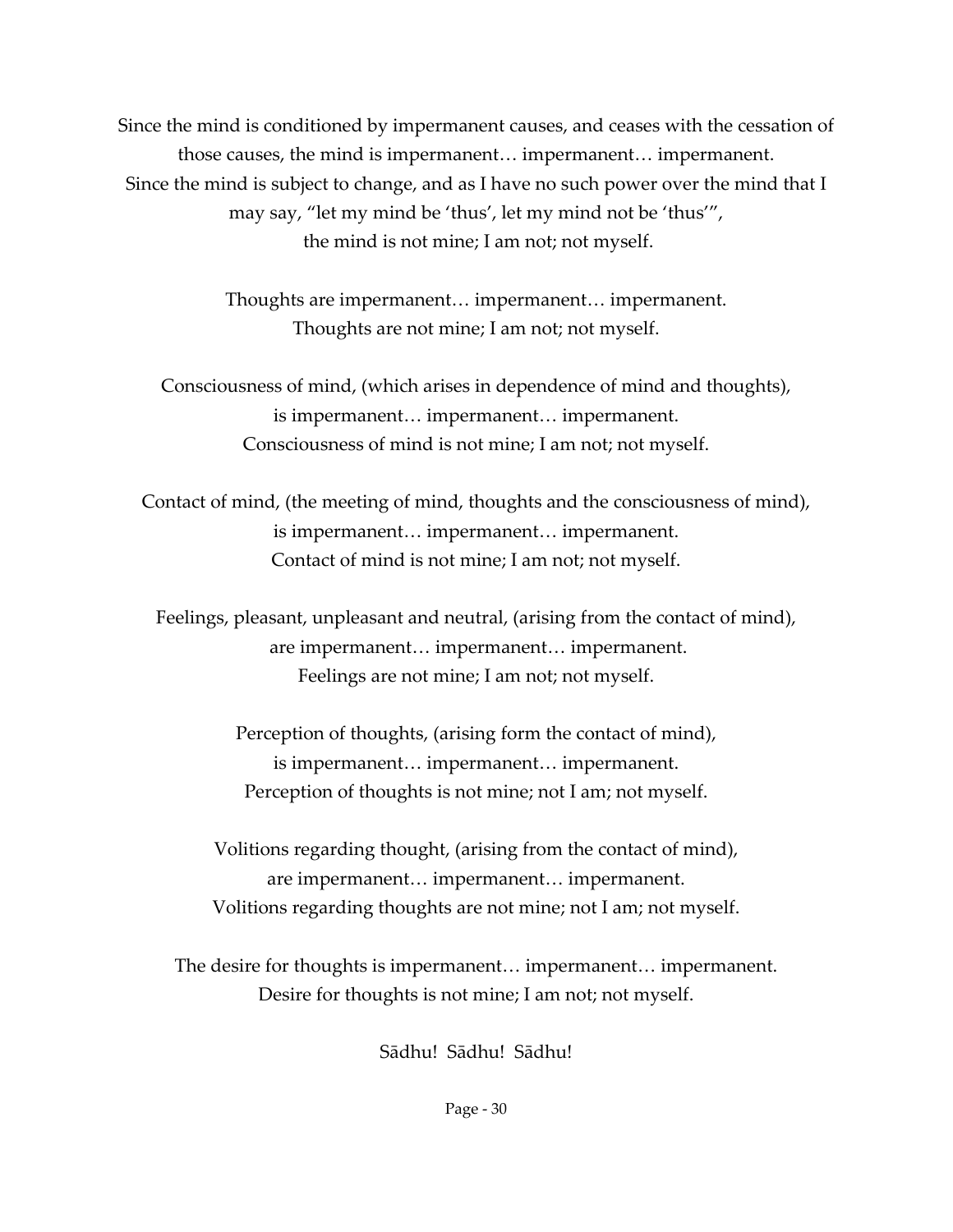Since the mind is conditioned by impermanent causes, and ceases with the cessation of those causes, the mind is impermanent… impermanent… impermanent. Since the mind is subject to change, and as I have no such power over the mind that I may say, "let my mind be 'thus', let my mind not be 'thus'", the mind is not mine; I am not; not myself.

> Thoughts are impermanent… impermanent… impermanent. Thoughts are not mine; I am not; not myself.

Consciousness of mind, (which arises in dependence of mind and thoughts), is impermanent… impermanent… impermanent. Consciousness of mind is not mine; I am not; not myself.

Contact of mind, (the meeting of mind, thoughts and the consciousness of mind), is impermanent… impermanent… impermanent. Contact of mind is not mine; I am not; not myself.

Feelings, pleasant, unpleasant and neutral, (arising from the contact of mind), are impermanent… impermanent… impermanent. Feelings are not mine; I am not; not myself.

> Perception of thoughts, (arising form the contact of mind), is impermanent… impermanent… impermanent. Perception of thoughts is not mine; not I am; not myself.

Volitions regarding thought, (arising from the contact of mind), are impermanent… impermanent… impermanent. Volitions regarding thoughts are not mine; not I am; not myself.

The desire for thoughts is impermanent… impermanent… impermanent. Desire for thoughts is not mine; I am not; not myself.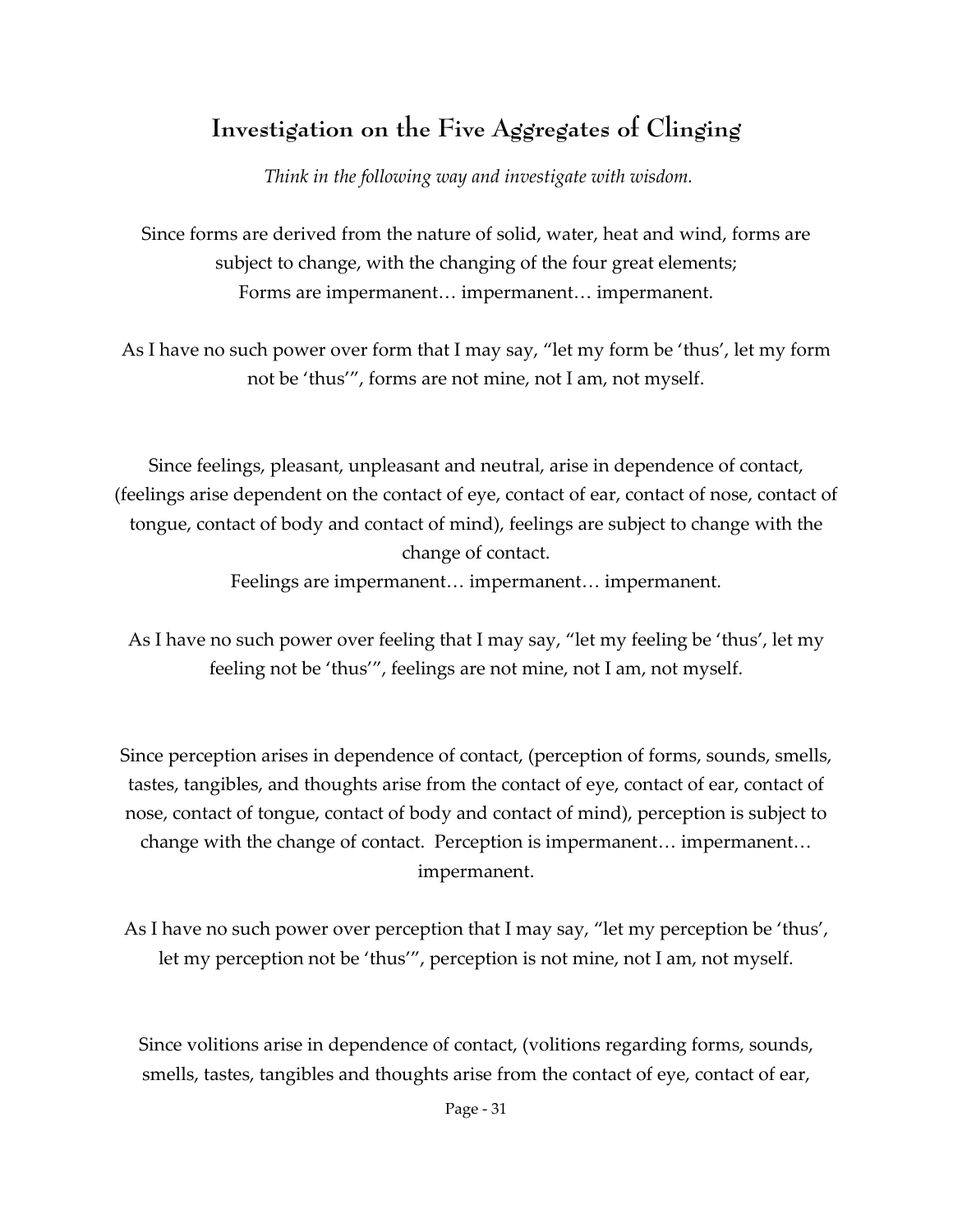## **Investigation on the Five Aggregates of Clinging**

*Think in the following way and investigate with wisdom.*

Since forms are derived from the nature of solid, water, heat and wind, forms are subject to change, with the changing of the four great elements; Forms are impermanent… impermanent… impermanent.

As I have no such power over form that I may say, "let my form be 'thus', let my form not be 'thus'", forms are not mine, not I am, not myself.

Since feelings, pleasant, unpleasant and neutral, arise in dependence of contact, (feelings arise dependent on the contact of eye, contact of ear, contact of nose, contact of tongue, contact of body and contact of mind), feelings are subject to change with the change of contact.

Feelings are impermanent… impermanent… impermanent.

As I have no such power over feeling that I may say, "let my feeling be 'thus', let my feeling not be 'thus'", feelings are not mine, not I am, not myself.

Since perception arises in dependence of contact, (perception of forms, sounds, smells, tastes, tangibles, and thoughts arise from the contact of eye, contact of ear, contact of nose, contact of tongue, contact of body and contact of mind), perception is subject to change with the change of contact. Perception is impermanent… impermanent… impermanent.

As I have no such power over perception that I may say, "let my perception be 'thus', let my perception not be 'thus'", perception is not mine, not I am, not myself.

Since volitions arise in dependence of contact, (volitions regarding forms, sounds, smells, tastes, tangibles and thoughts arise from the contact of eye, contact of ear,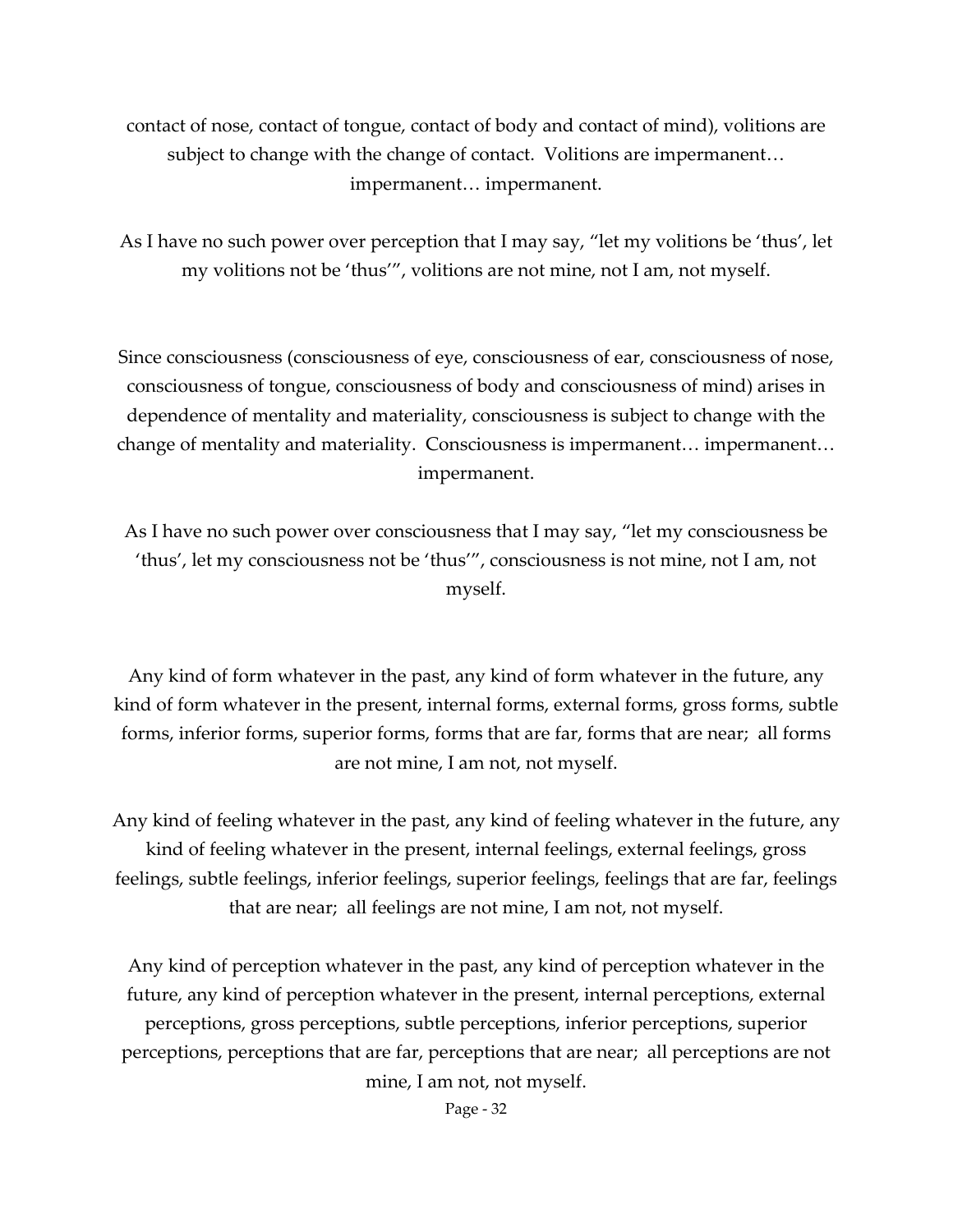contact of nose, contact of tongue, contact of body and contact of mind), volitions are subject to change with the change of contact. Volitions are impermanent… impermanent… impermanent.

As I have no such power over perception that I may say, "let my volitions be 'thus', let my volitions not be 'thus'", volitions are not mine, not I am, not myself.

Since consciousness (consciousness of eye, consciousness of ear, consciousness of nose, consciousness of tongue, consciousness of body and consciousness of mind) arises in dependence of mentality and materiality, consciousness is subject to change with the change of mentality and materiality. Consciousness is impermanent… impermanent… impermanent.

As I have no such power over consciousness that I may say, "let my consciousness be 'thus', let my consciousness not be 'thus'", consciousness is not mine, not I am, not myself.

Any kind of form whatever in the past, any kind of form whatever in the future, any kind of form whatever in the present, internal forms, external forms, gross forms, subtle forms, inferior forms, superior forms, forms that are far, forms that are near; all forms are not mine, I am not, not myself.

Any kind of feeling whatever in the past, any kind of feeling whatever in the future, any kind of feeling whatever in the present, internal feelings, external feelings, gross feelings, subtle feelings, inferior feelings, superior feelings, feelings that are far, feelings that are near; all feelings are not mine, I am not, not myself.

Any kind of perception whatever in the past, any kind of perception whatever in the future, any kind of perception whatever in the present, internal perceptions, external perceptions, gross perceptions, subtle perceptions, inferior perceptions, superior perceptions, perceptions that are far, perceptions that are near; all perceptions are not mine, I am not, not myself.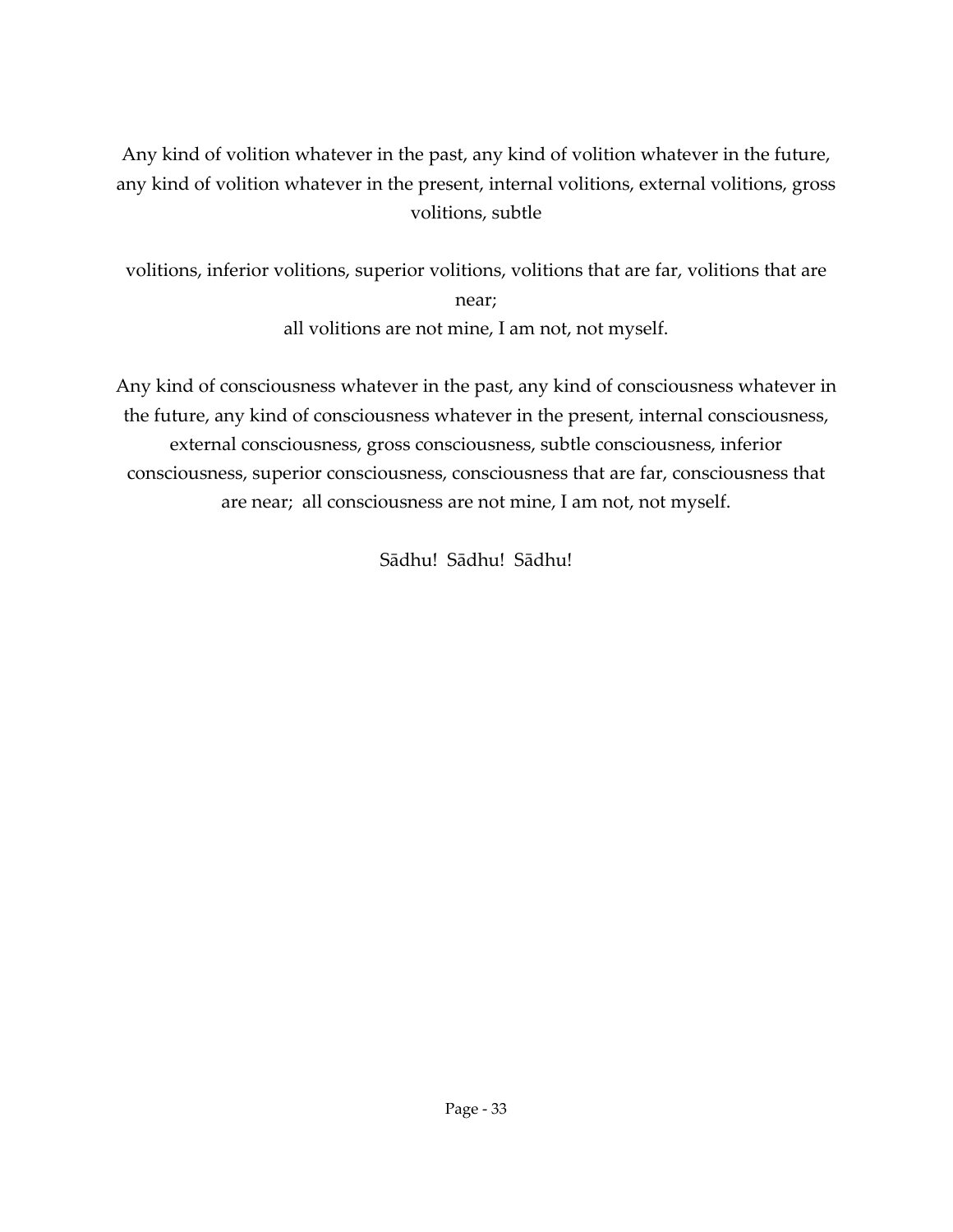### Any kind of volition whatever in the past, any kind of volition whatever in the future, any kind of volition whatever in the present, internal volitions, external volitions, gross volitions, subtle

volitions, inferior volitions, superior volitions, volitions that are far, volitions that are near; all volitions are not mine, I am not, not myself.

Any kind of consciousness whatever in the past, any kind of consciousness whatever in the future, any kind of consciousness whatever in the present, internal consciousness, external consciousness, gross consciousness, subtle consciousness, inferior consciousness, superior consciousness, consciousness that are far, consciousness that are near; all consciousness are not mine, I am not, not myself.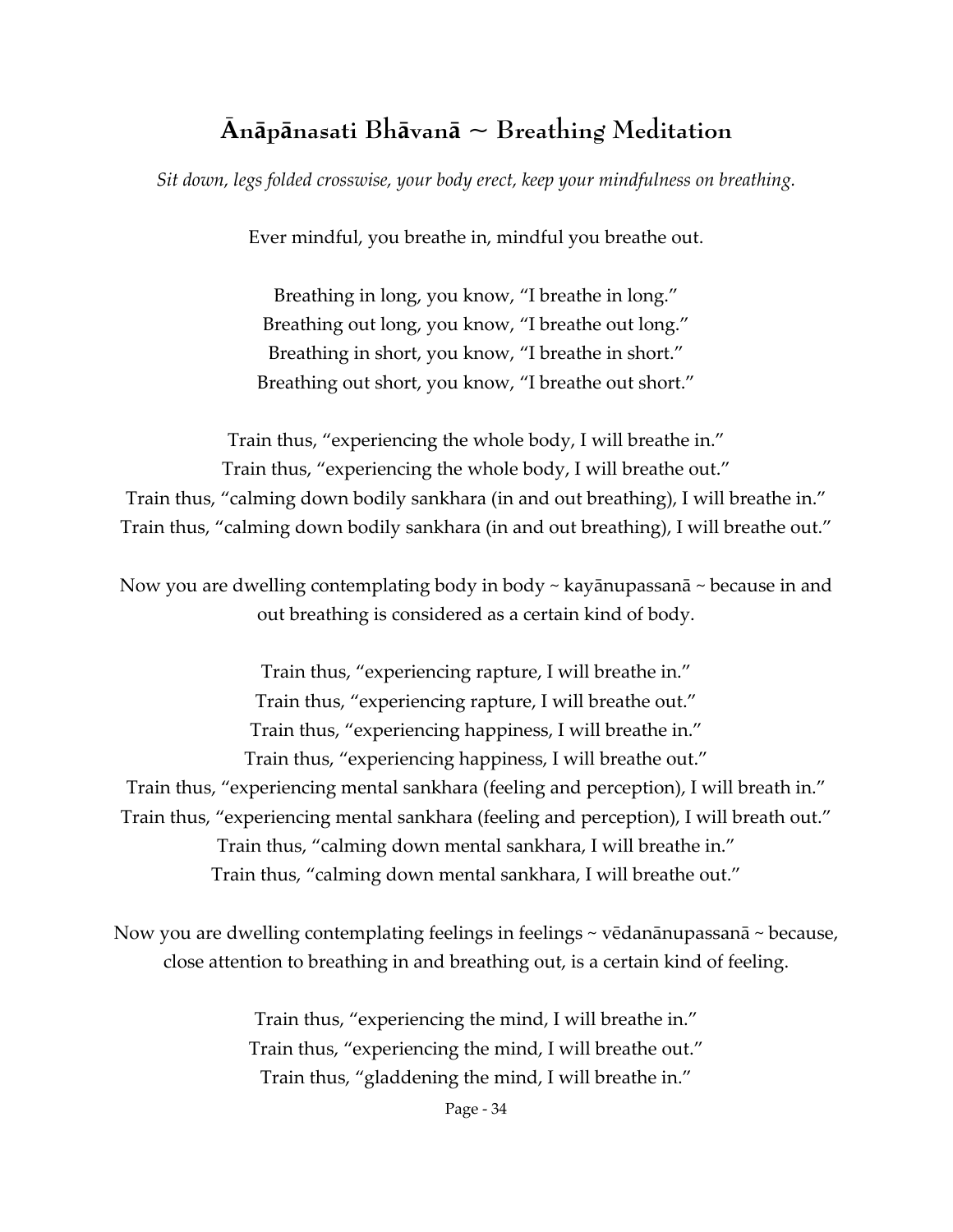## **Ᾱnāpānasati Bhāvanā ~ Breathing Meditation**

*Sit down, legs folded crosswise, your body erect, keep your mindfulness on breathing.*

Ever mindful, you breathe in, mindful you breathe out.

Breathing in long, you know, "I breathe in long." Breathing out long, you know, "I breathe out long." Breathing in short, you know, "I breathe in short." Breathing out short, you know, "I breathe out short."

Train thus, "experiencing the whole body, I will breathe in." Train thus, "experiencing the whole body, I will breathe out." Train thus, "calming down bodily sankhara (in and out breathing), I will breathe in." Train thus, "calming down bodily sankhara (in and out breathing), I will breathe out."

Now you are dwelling contemplating body in body ~ kayānupassanā ~ because in and out breathing is considered as a certain kind of body.

Train thus, "experiencing rapture, I will breathe in." Train thus, "experiencing rapture, I will breathe out." Train thus, "experiencing happiness, I will breathe in." Train thus, "experiencing happiness, I will breathe out." Train thus, "experiencing mental sankhara (feeling and perception), I will breath in." Train thus, "experiencing mental sankhara (feeling and perception), I will breath out." Train thus, "calming down mental sankhara, I will breathe in." Train thus, "calming down mental sankhara, I will breathe out."

Now you are dwelling contemplating feelings in feelings ~ vēdanānupassanā ~ because, close attention to breathing in and breathing out, is a certain kind of feeling.

> Train thus, "experiencing the mind, I will breathe in." Train thus, "experiencing the mind, I will breathe out." Train thus, "gladdening the mind, I will breathe in."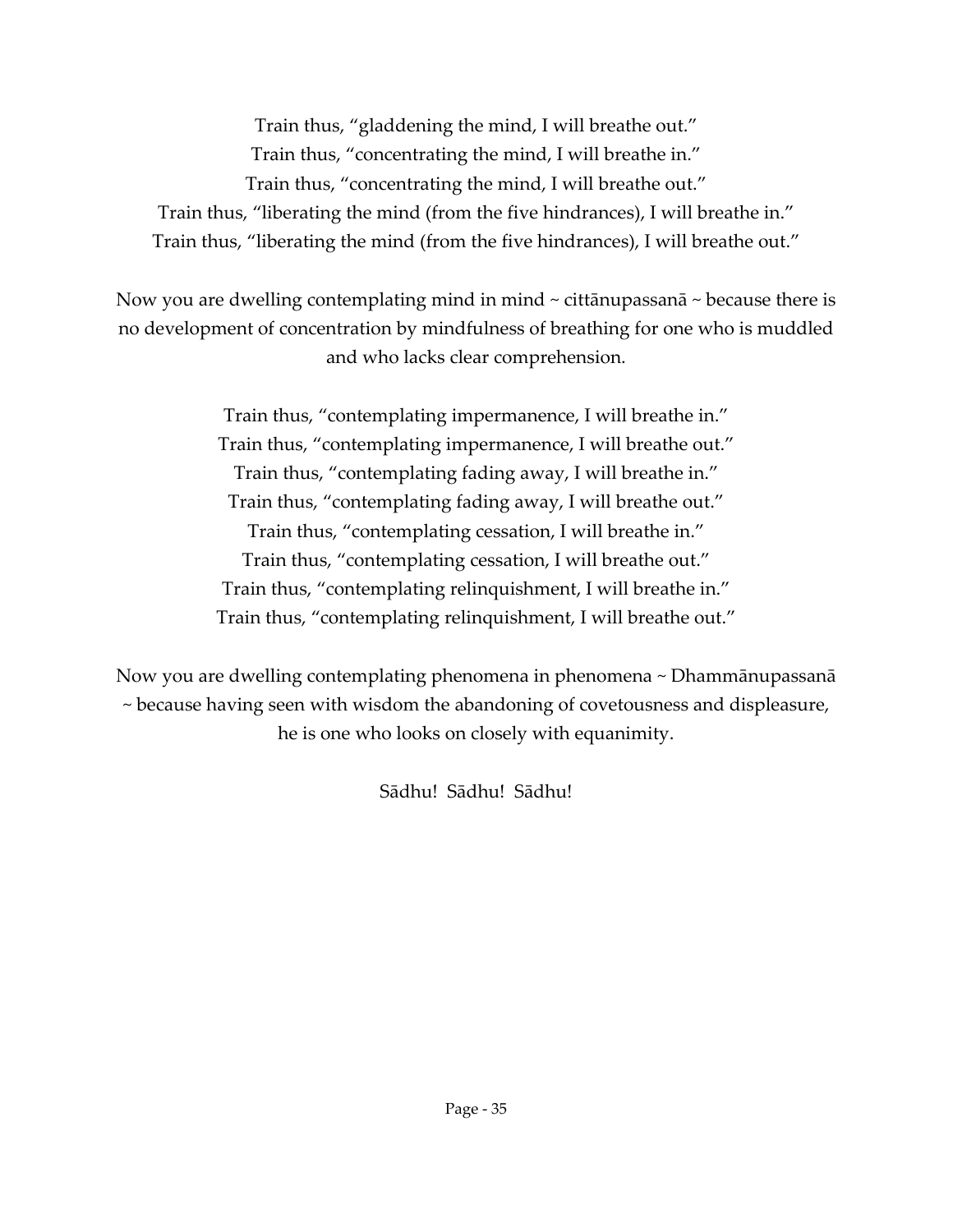Train thus, "gladdening the mind, I will breathe out." Train thus, "concentrating the mind, I will breathe in." Train thus, "concentrating the mind, I will breathe out." Train thus, "liberating the mind (from the five hindrances), I will breathe in." Train thus, "liberating the mind (from the five hindrances), I will breathe out."

Now you are dwelling contemplating mind in mind  $\sim$  cittanupassana  $\sim$  because there is no development of concentration by mindfulness of breathing for one who is muddled and who lacks clear comprehension.

> Train thus, "contemplating impermanence, I will breathe in." Train thus, "contemplating impermanence, I will breathe out." Train thus, "contemplating fading away, I will breathe in." Train thus, "contemplating fading away, I will breathe out." Train thus, "contemplating cessation, I will breathe in." Train thus, "contemplating cessation, I will breathe out." Train thus, "contemplating relinquishment, I will breathe in." Train thus, "contemplating relinquishment, I will breathe out."

Now you are dwelling contemplating phenomena in phenomena ~ Dhammānupassanā ~ because having seen with wisdom the abandoning of covetousness and displeasure, he is one who looks on closely with equanimity.